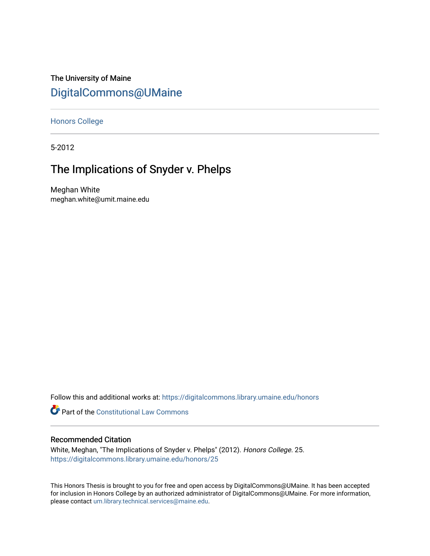# The University of Maine [DigitalCommons@UMaine](https://digitalcommons.library.umaine.edu/)

[Honors College](https://digitalcommons.library.umaine.edu/honors)

5-2012

# The Implications of Snyder v. Phelps

Meghan White meghan.white@umit.maine.edu

Follow this and additional works at: [https://digitalcommons.library.umaine.edu/honors](https://digitalcommons.library.umaine.edu/honors?utm_source=digitalcommons.library.umaine.edu%2Fhonors%2F25&utm_medium=PDF&utm_campaign=PDFCoverPages) 

**Part of the Constitutional Law Commons** 

## Recommended Citation

White, Meghan, "The Implications of Snyder v. Phelps" (2012). Honors College. 25. [https://digitalcommons.library.umaine.edu/honors/25](https://digitalcommons.library.umaine.edu/honors/25?utm_source=digitalcommons.library.umaine.edu%2Fhonors%2F25&utm_medium=PDF&utm_campaign=PDFCoverPages) 

This Honors Thesis is brought to you for free and open access by DigitalCommons@UMaine. It has been accepted for inclusion in Honors College by an authorized administrator of DigitalCommons@UMaine. For more information, please contact [um.library.technical.services@maine.edu.](mailto:um.library.technical.services@maine.edu)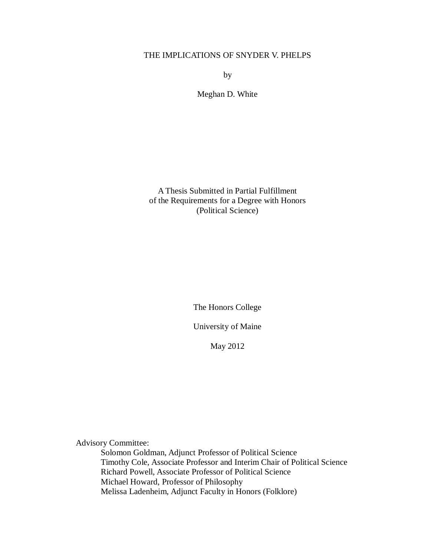# THE IMPLICATIONS OF SNYDER V. PHELPS

by

Meghan D. White

A Thesis Submitted in Partial Fulfillment of the Requirements for a Degree with Honors (Political Science)

The Honors College

University of Maine

May 2012

Advisory Committee:

Solomon Goldman, Adjunct Professor of Political Science Timothy Cole, Associate Professor and Interim Chair of Political Science Richard Powell, Associate Professor of Political Science Michael Howard, Professor of Philosophy Melissa Ladenheim, Adjunct Faculty in Honors (Folklore)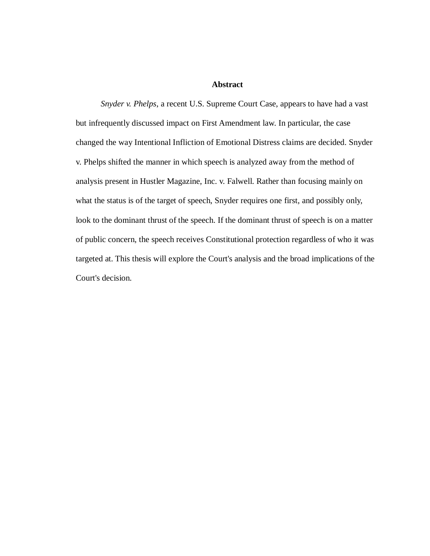## **Abstract**

*Snyder v. Phelps*, a recent U.S. Supreme Court Case, appears to have had a vast but infrequently discussed impact on First Amendment law. In particular, the case changed the way Intentional Infliction of Emotional Distress claims are decided. Snyder v. Phelps shifted the manner in which speech is analyzed away from the method of analysis present in Hustler Magazine, Inc. v. Falwell. Rather than focusing mainly on what the status is of the target of speech, Snyder requires one first, and possibly only, look to the dominant thrust of the speech. If the dominant thrust of speech is on a matter of public concern, the speech receives Constitutional protection regardless of who it was targeted at. This thesis will explore the Court's analysis and the broad implications of the Court's decision.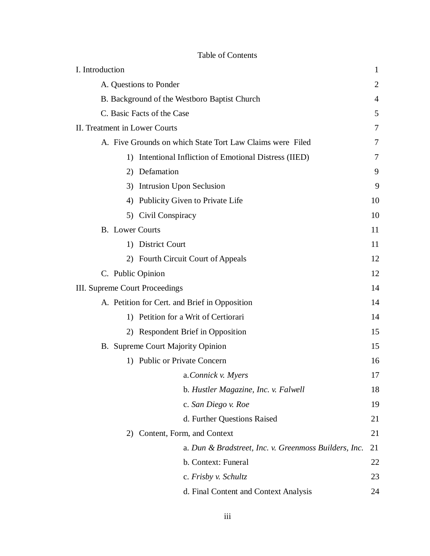| I. Introduction                                           | 1              |
|-----------------------------------------------------------|----------------|
| A. Questions to Ponder                                    | $\overline{2}$ |
| B. Background of the Westboro Baptist Church              | $\overline{4}$ |
| C. Basic Facts of the Case                                | 5              |
| II. Treatment in Lower Courts                             | 7              |
| A. Five Grounds on which State Tort Law Claims were Filed | 7              |
| 1) Intentional Infliction of Emotional Distress (IIED)    | 7              |
| 2) Defamation                                             | 9              |
| 3) Intrusion Upon Seclusion                               | 9              |
| 4) Publicity Given to Private Life                        | 10             |
| 5) Civil Conspiracy                                       | 10             |
| <b>B.</b> Lower Courts                                    | 11             |
| 1) District Court                                         | 11             |
| 2) Fourth Circuit Court of Appeals                        | 12             |
| C. Public Opinion                                         | 12             |
| III. Supreme Court Proceedings                            | 14             |
| A. Petition for Cert. and Brief in Opposition             | 14             |
| 1) Petition for a Writ of Certiorari                      | 14             |
| 2) Respondent Brief in Opposition                         | 15             |
| B. Supreme Court Majority Opinion                         | 15             |
| 1) Public or Private Concern                              | 16             |
| a.Connick v. Myers                                        | 17             |
| b. Hustler Magazine, Inc. v. Falwell                      | 18             |
| c. San Diego v. Roe                                       | 19             |
| d. Further Questions Raised                               | 21             |
| 2) Content, Form, and Context                             | 21             |
| a. Dun & Bradstreet, Inc. v. Greenmoss Builders, Inc.     | 21             |
| b. Context: Funeral                                       | 22             |
| c. Frisby v. Schultz                                      | 23             |
| d. Final Content and Context Analysis                     | 24             |

## Table of Contents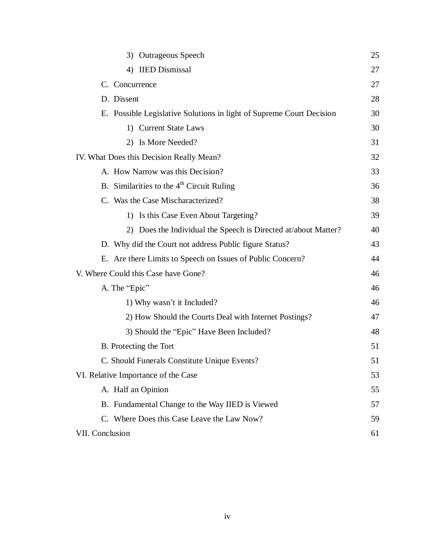| 3) Outrageous Speech                                                 | 25 |
|----------------------------------------------------------------------|----|
| 4) IIED Dismissal                                                    | 27 |
| C. Concurrence                                                       | 27 |
| D. Dissent                                                           | 28 |
| E. Possible Legislative Solutions in light of Supreme Court Decision | 30 |
| 1) Current State Laws                                                | 30 |
| 2) Is More Needed?                                                   | 31 |
| IV. What Does this Decision Really Mean?                             | 32 |
| A. How Narrow was this Decision?                                     | 33 |
| B. Similarities to the $4th$ Circuit Ruling                          | 36 |
| C. Was the Case Mischaracterized?                                    | 38 |
| 1) Is this Case Even About Targeting?                                | 39 |
| 2) Does the Individual the Speech is Directed at/about Matter?       | 40 |
| D. Why did the Court not address Public figure Status?               | 43 |
| E. Are there Limits to Speech on Issues of Public Concern?           | 44 |
| V. Where Could this Case have Gone?                                  | 46 |
| A. The "Epic"                                                        | 46 |
| 1) Why wasn't it Included?                                           | 46 |
| 2) How Should the Courts Deal with Internet Postings?                | 47 |
| 3) Should the "Epic" Have Been Included?                             | 48 |
| B. Protecting the Tort                                               | 51 |
| C. Should Funerals Constitute Unique Events?                         | 51 |
| VI. Relative Importance of the Case                                  | 53 |
| A. Half an Opinion                                                   | 55 |
| B. Fundamental Change to the Way IIED is Viewed                      | 57 |
| C. Where Does this Case Leave the Law Now?                           | 59 |
| VII. Conclusion                                                      | 61 |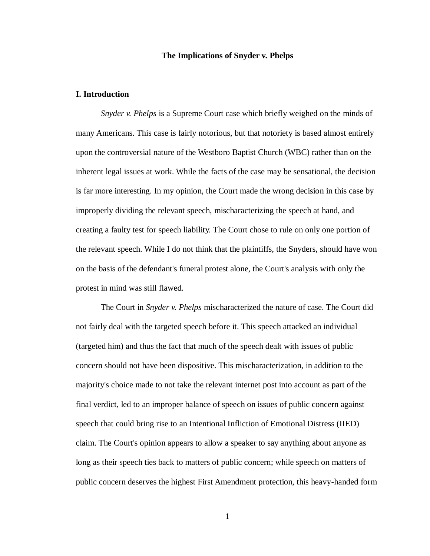## **The Implications of Snyder v. Phelps**

## **I. Introduction**

*Snyder v. Phelps* is a Supreme Court case which briefly weighed on the minds of many Americans. This case is fairly notorious, but that notoriety is based almost entirely upon the controversial nature of the Westboro Baptist Church (WBC) rather than on the inherent legal issues at work. While the facts of the case may be sensational, the decision is far more interesting. In my opinion, the Court made the wrong decision in this case by improperly dividing the relevant speech, mischaracterizing the speech at hand, and creating a faulty test for speech liability. The Court chose to rule on only one portion of the relevant speech. While I do not think that the plaintiffs, the Snyders, should have won on the basis of the defendant's funeral protest alone, the Court's analysis with only the protest in mind was still flawed.

The Court in *Snyder v. Phelps* mischaracterized the nature of case. The Court did not fairly deal with the targeted speech before it. This speech attacked an individual (targeted him) and thus the fact that much of the speech dealt with issues of public concern should not have been dispositive. This mischaracterization, in addition to the majority's choice made to not take the relevant internet post into account as part of the final verdict, led to an improper balance of speech on issues of public concern against speech that could bring rise to an Intentional Infliction of Emotional Distress (IIED) claim. The Court's opinion appears to allow a speaker to say anything about anyone as long as their speech ties back to matters of public concern; while speech on matters of public concern deserves the highest First Amendment protection, this heavy-handed form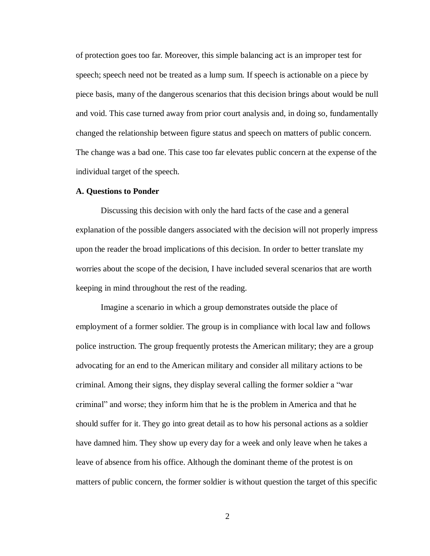of protection goes too far. Moreover, this simple balancing act is an improper test for speech; speech need not be treated as a lump sum. If speech is actionable on a piece by piece basis, many of the dangerous scenarios that this decision brings about would be null and void. This case turned away from prior court analysis and, in doing so, fundamentally changed the relationship between figure status and speech on matters of public concern. The change was a bad one. This case too far elevates public concern at the expense of the individual target of the speech.

#### **A. Questions to Ponder**

Discussing this decision with only the hard facts of the case and a general explanation of the possible dangers associated with the decision will not properly impress upon the reader the broad implications of this decision. In order to better translate my worries about the scope of the decision, I have included several scenarios that are worth keeping in mind throughout the rest of the reading.

Imagine a scenario in which a group demonstrates outside the place of employment of a former soldier. The group is in compliance with local law and follows police instruction. The group frequently protests the American military; they are a group advocating for an end to the American military and consider all military actions to be criminal. Among their signs, they display several calling the former soldier a "war criminal" and worse; they inform him that he is the problem in America and that he should suffer for it. They go into great detail as to how his personal actions as a soldier have damned him. They show up every day for a week and only leave when he takes a leave of absence from his office. Although the dominant theme of the protest is on matters of public concern, the former soldier is without question the target of this specific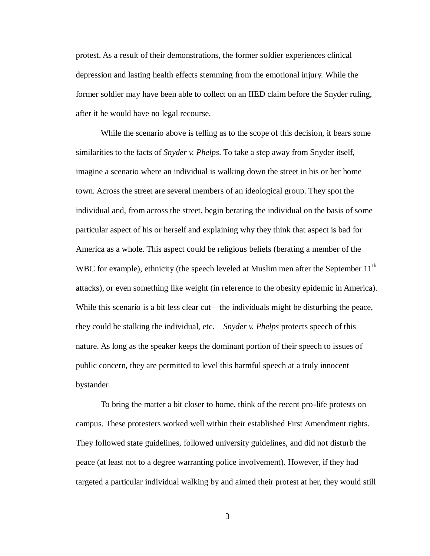protest. As a result of their demonstrations, the former soldier experiences clinical depression and lasting health effects stemming from the emotional injury. While the former soldier may have been able to collect on an IIED claim before the Snyder ruling, after it he would have no legal recourse.

While the scenario above is telling as to the scope of this decision, it bears some similarities to the facts of *Snyder v. Phelps*. To take a step away from Snyder itself, imagine a scenario where an individual is walking down the street in his or her home town. Across the street are several members of an ideological group. They spot the individual and, from across the street, begin berating the individual on the basis of some particular aspect of his or herself and explaining why they think that aspect is bad for America as a whole. This aspect could be religious beliefs (berating a member of the WBC for example), ethnicity (the speech leveled at Muslim men after the September  $11<sup>th</sup>$ attacks), or even something like weight (in reference to the obesity epidemic in America). While this scenario is a bit less clear cut—the individuals might be disturbing the peace, they could be stalking the individual, etc.—*Snyder v. Phelps* protects speech of this nature. As long as the speaker keeps the dominant portion of their speech to issues of public concern, they are permitted to level this harmful speech at a truly innocent bystander.

To bring the matter a bit closer to home, think of the recent pro-life protests on campus. These protesters worked well within their established First Amendment rights. They followed state guidelines, followed university guidelines, and did not disturb the peace (at least not to a degree warranting police involvement). However, if they had targeted a particular individual walking by and aimed their protest at her, they would still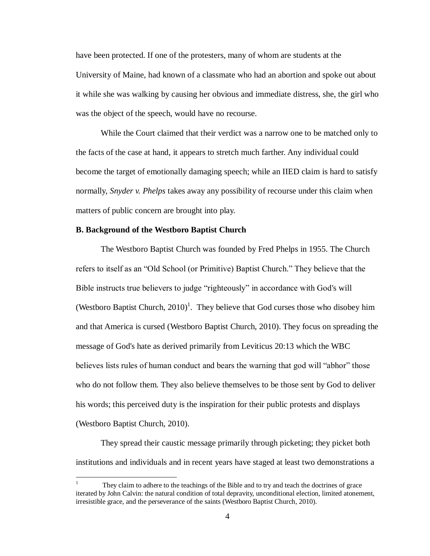have been protected. If one of the protesters, many of whom are students at the University of Maine, had known of a classmate who had an abortion and spoke out about it while she was walking by causing her obvious and immediate distress, she, the girl who was the object of the speech, would have no recourse.

While the Court claimed that their verdict was a narrow one to be matched only to the facts of the case at hand, it appears to stretch much farther. Any individual could become the target of emotionally damaging speech; while an IIED claim is hard to satisfy normally, *Snyder v. Phelps* takes away any possibility of recourse under this claim when matters of public concern are brought into play.

## **B. Background of the Westboro Baptist Church**

The Westboro Baptist Church was founded by Fred Phelps in 1955. The Church refers to itself as an "Old School (or Primitive) Baptist Church." They believe that the Bible instructs true believers to judge "righteously" in accordance with God's will (Westboro Baptist Church,  $2010$ <sup>1</sup>. They believe that God curses those who disobey him and that America is cursed (Westboro Baptist Church, 2010). They focus on spreading the message of God's hate as derived primarily from Leviticus 20:13 which the WBC believes lists rules of human conduct and bears the warning that god will "abhor" those who do not follow them. They also believe themselves to be those sent by God to deliver his words; this perceived duty is the inspiration for their public protests and displays (Westboro Baptist Church, 2010).

They spread their caustic message primarily through picketing; they picket both institutions and individuals and in recent years have staged at least two demonstrations a

 $\mathbf{1}$ <sup>1</sup> They claim to adhere to the teachings of the Bible and to try and teach the doctrines of grace iterated by John Calvin: the natural condition of total depravity, unconditional election, limited atonement, irresistible grace, and the perseverance of the saints (Westboro Baptist Church, 2010).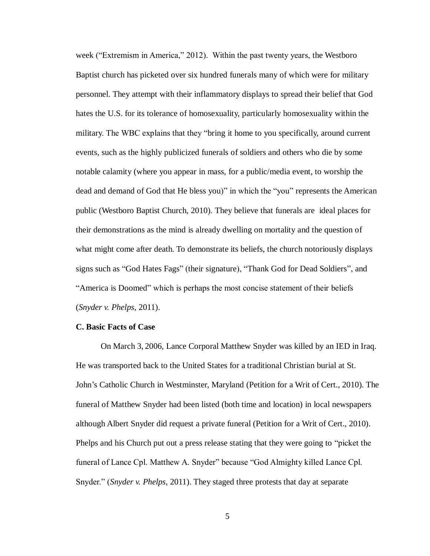week ("Extremism in America," 2012). Within the past twenty years, the Westboro Baptist church has picketed over six hundred funerals many of which were for military personnel. They attempt with their inflammatory displays to spread their belief that God hates the U.S. for its tolerance of homosexuality, particularly homosexuality within the military. The WBC explains that they "bring it home to you specifically, around current events, such as the highly publicized funerals of soldiers and others who die by some notable calamity (where you appear in mass, for a public/media event, to worship the dead and demand of God that He bless you)" in which the "you" represents the American public (Westboro Baptist Church, 2010). They believe that funerals are ideal places for their demonstrations as the mind is already dwelling on mortality and the question of what might come after death. To demonstrate its beliefs, the church notoriously displays signs such as "God Hates Fags" (their signature), "Thank God for Dead Soldiers", and "America is Doomed" which is perhaps the most concise statement of their beliefs (*Snyder v. Phelps*, 2011).

#### **C. Basic Facts of Case**

On March 3, 2006, Lance Corporal Matthew Snyder was killed by an IED in Iraq. He was transported back to the United States for a traditional Christian burial at St. John's Catholic Church in Westminster, Maryland (Petition for a Writ of Cert., 2010). The funeral of Matthew Snyder had been listed (both time and location) in local newspapers although Albert Snyder did request a private funeral (Petition for a Writ of Cert., 2010). Phelps and his Church put out a press release stating that they were going to "picket the funeral of Lance Cpl. Matthew A. Snyder" because "God Almighty killed Lance Cpl. Snyder." (*Snyder v. Phelps*, 2011). They staged three protests that day at separate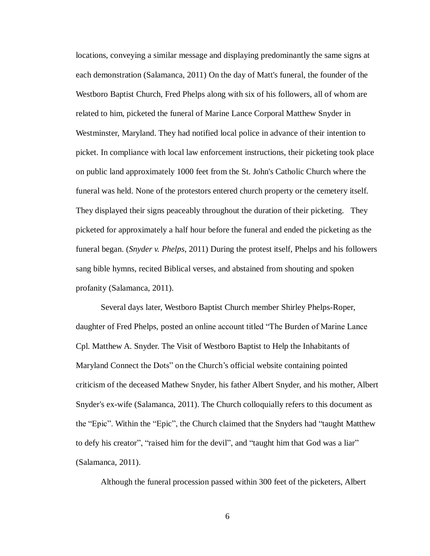locations, conveying a similar message and displaying predominantly the same signs at each demonstration (Salamanca, 2011) On the day of Matt's funeral, the founder of the Westboro Baptist Church, Fred Phelps along with six of his followers, all of whom are related to him, picketed the funeral of Marine Lance Corporal Matthew Snyder in Westminster, Maryland. They had notified local police in advance of their intention to picket. In compliance with local law enforcement instructions, their picketing took place on public land approximately 1000 feet from the St. John's Catholic Church where the funeral was held. None of the protestors entered church property or the cemetery itself. They displayed their signs peaceably throughout the duration of their picketing. They picketed for approximately a half hour before the funeral and ended the picketing as the funeral began. (*Snyder v. Phelps*, 2011) During the protest itself, Phelps and his followers sang bible hymns, recited Biblical verses, and abstained from shouting and spoken profanity (Salamanca, 2011).

Several days later, Westboro Baptist Church member Shirley Phelps-Roper, daughter of Fred Phelps, posted an online account titled "The Burden of Marine Lance Cpl. Matthew A. Snyder. The Visit of Westboro Baptist to Help the Inhabitants of Maryland Connect the Dots" on the Church's official website containing pointed criticism of the deceased Mathew Snyder, his father Albert Snyder, and his mother, Albert Snyder's ex-wife (Salamanca, 2011). The Church colloquially refers to this document as the "Epic". Within the "Epic", the Church claimed that the Snyders had "taught Matthew to defy his creator", "raised him for the devil", and "taught him that God was a liar" (Salamanca, 2011).

Although the funeral procession passed within 300 feet of the picketers, Albert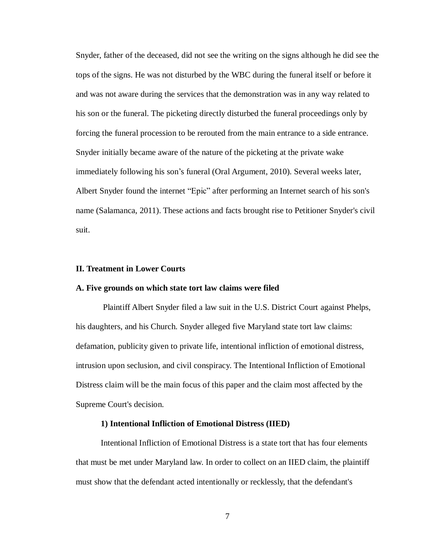Snyder, father of the deceased, did not see the writing on the signs although he did see the tops of the signs. He was not disturbed by the WBC during the funeral itself or before it and was not aware during the services that the demonstration was in any way related to his son or the funeral. The picketing directly disturbed the funeral proceedings only by forcing the funeral procession to be rerouted from the main entrance to a side entrance. Snyder initially became aware of the nature of the picketing at the private wake immediately following his son's funeral (Oral Argument, 2010). Several weeks later, Albert Snyder found the internet "Epic" after performing an Internet search of his son's name (Salamanca, 2011). These actions and facts brought rise to Petitioner Snyder's civil suit.

## **II. Treatment in Lower Courts**

#### **A. Five grounds on which state tort law claims were filed**

Plaintiff Albert Snyder filed a law suit in the U.S. District Court against Phelps, his daughters, and his Church. Snyder alleged five Maryland state tort law claims: defamation, publicity given to private life, intentional infliction of emotional distress, intrusion upon seclusion, and civil conspiracy. The Intentional Infliction of Emotional Distress claim will be the main focus of this paper and the claim most affected by the Supreme Court's decision.

#### **1) Intentional Infliction of Emotional Distress (IIED)**

Intentional Infliction of Emotional Distress is a state tort that has four elements that must be met under Maryland law. In order to collect on an IIED claim, the plaintiff must show that the defendant acted intentionally or recklessly, that the defendant's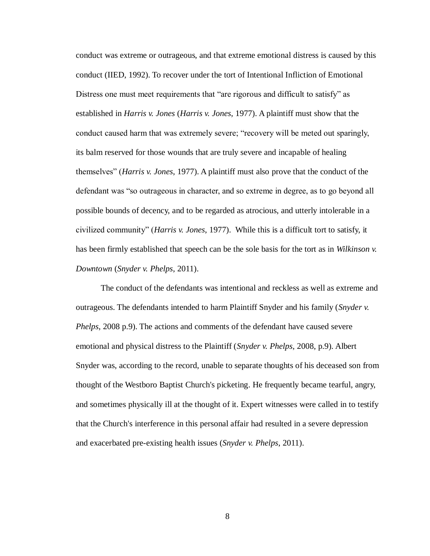conduct was extreme or outrageous, and that extreme emotional distress is caused by this conduct (IIED, 1992). To recover under the tort of Intentional Infliction of Emotional Distress one must meet requirements that "are rigorous and difficult to satisfy" as established in *Harris v. Jones* (*Harris v. Jones*, 1977). A plaintiff must show that the conduct caused harm that was extremely severe; "recovery will be meted out sparingly, its balm reserved for those wounds that are truly severe and incapable of healing themselves" (*Harris v. Jones*, 1977). A plaintiff must also prove that the conduct of the defendant was "so outrageous in character, and so extreme in degree, as to go beyond all possible bounds of decency, and to be regarded as atrocious, and utterly intolerable in a civilized community" (*Harris v. Jones*, 1977). While this is a difficult tort to satisfy, it has been firmly established that speech can be the sole basis for the tort as in *Wilkinson v. Downtown* (*Snyder v. Phelps*, 2011).

The conduct of the defendants was intentional and reckless as well as extreme and outrageous. The defendants intended to harm Plaintiff Snyder and his family (*Snyder v. Phelps*, 2008 p.9). The actions and comments of the defendant have caused severe emotional and physical distress to the Plaintiff (*Snyder v. Phelps*, 2008, p.9). Albert Snyder was, according to the record, unable to separate thoughts of his deceased son from thought of the Westboro Baptist Church's picketing. He frequently became tearful, angry, and sometimes physically ill at the thought of it. Expert witnesses were called in to testify that the Church's interference in this personal affair had resulted in a severe depression and exacerbated pre-existing health issues (*Snyder v. Phelps*, 2011).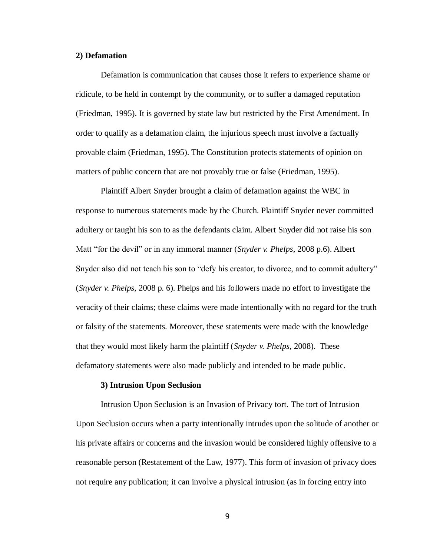## **2) Defamation**

Defamation is communication that causes those it refers to experience shame or ridicule, to be held in contempt by the community, or to suffer a damaged reputation (Friedman, 1995). It is governed by state law but restricted by the First Amendment. In order to qualify as a defamation claim, the injurious speech must involve a factually provable claim (Friedman, 1995). The Constitution protects statements of opinion on matters of public concern that are not provably true or false (Friedman, 1995).

Plaintiff Albert Snyder brought a claim of defamation against the WBC in response to numerous statements made by the Church. Plaintiff Snyder never committed adultery or taught his son to as the defendants claim. Albert Snyder did not raise his son Matt "for the devil" or in any immoral manner (*Snyder v. Phelps*, 2008 p.6). Albert Snyder also did not teach his son to "defy his creator, to divorce, and to commit adultery" (*Snyder v. Phelps*, 2008 p. 6). Phelps and his followers made no effort to investigate the veracity of their claims; these claims were made intentionally with no regard for the truth or falsity of the statements. Moreover, these statements were made with the knowledge that they would most likely harm the plaintiff (*Snyder v. Phelps*, 2008). These defamatory statements were also made publicly and intended to be made public.

#### **3) Intrusion Upon Seclusion**

Intrusion Upon Seclusion is an Invasion of Privacy tort. The tort of Intrusion Upon Seclusion occurs when a party intentionally intrudes upon the solitude of another or his private affairs or concerns and the invasion would be considered highly offensive to a reasonable person (Restatement of the Law, 1977). This form of invasion of privacy does not require any publication; it can involve a physical intrusion (as in forcing entry into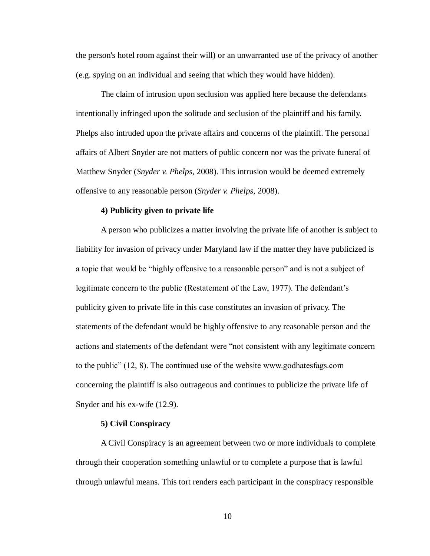the person's hotel room against their will) or an unwarranted use of the privacy of another (e.g. spying on an individual and seeing that which they would have hidden).

The claim of intrusion upon seclusion was applied here because the defendants intentionally infringed upon the solitude and seclusion of the plaintiff and his family. Phelps also intruded upon the private affairs and concerns of the plaintiff. The personal affairs of Albert Snyder are not matters of public concern nor was the private funeral of Matthew Snyder (*Snyder v. Phelps*, 2008). This intrusion would be deemed extremely offensive to any reasonable person (*Snyder v. Phelps*, 2008).

## **4) Publicity given to private life**

A person who publicizes a matter involving the private life of another is subject to liability for invasion of privacy under Maryland law if the matter they have publicized is a topic that would be "highly offensive to a reasonable person" and is not a subject of legitimate concern to the public (Restatement of the Law, 1977). The defendant's publicity given to private life in this case constitutes an invasion of privacy. The statements of the defendant would be highly offensive to any reasonable person and the actions and statements of the defendant were "not consistent with any legitimate concern to the public" (12, 8). The continued use of the website www.godhatesfags.com concerning the plaintiff is also outrageous and continues to publicize the private life of Snyder and his ex-wife (12.9).

#### **5) Civil Conspiracy**

A Civil Conspiracy is an agreement between two or more individuals to complete through their cooperation something unlawful or to complete a purpose that is lawful through unlawful means. This tort renders each participant in the conspiracy responsible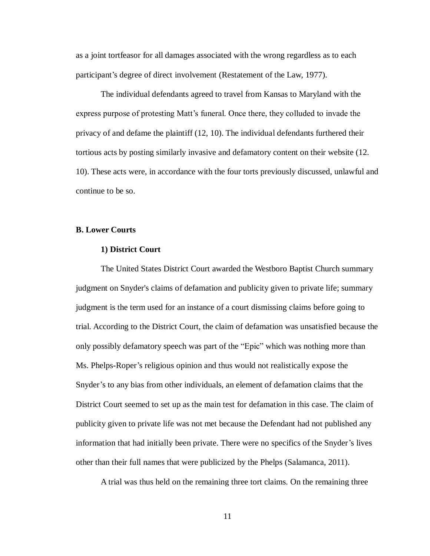as a joint tortfeasor for all damages associated with the wrong regardless as to each participant's degree of direct involvement (Restatement of the Law, 1977).

The individual defendants agreed to travel from Kansas to Maryland with the express purpose of protesting Matt's funeral. Once there, they colluded to invade the privacy of and defame the plaintiff (12, 10). The individual defendants furthered their tortious acts by posting similarly invasive and defamatory content on their website (12. 10). These acts were, in accordance with the four torts previously discussed, unlawful and continue to be so.

## **B. Lower Courts**

#### **1) District Court**

The United States District Court awarded the Westboro Baptist Church summary judgment on Snyder's claims of defamation and publicity given to private life; summary judgment is the term used for an instance of a court dismissing claims before going to trial. According to the District Court, the claim of defamation was unsatisfied because the only possibly defamatory speech was part of the "Epic" which was nothing more than Ms. Phelps-Roper's religious opinion and thus would not realistically expose the Snyder's to any bias from other individuals, an element of defamation claims that the District Court seemed to set up as the main test for defamation in this case. The claim of publicity given to private life was not met because the Defendant had not published any information that had initially been private. There were no specifics of the Snyder's lives other than their full names that were publicized by the Phelps (Salamanca, 2011).

A trial was thus held on the remaining three tort claims. On the remaining three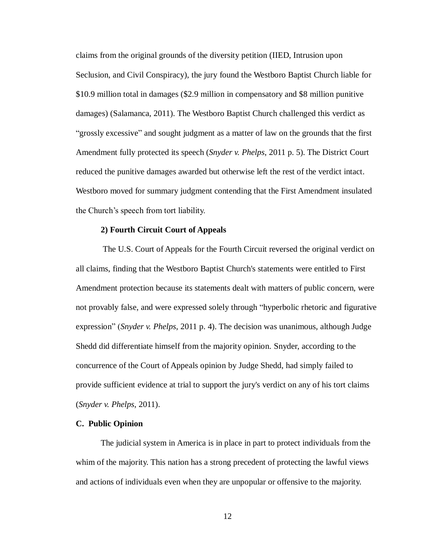claims from the original grounds of the diversity petition (IIED, Intrusion upon Seclusion, and Civil Conspiracy), the jury found the Westboro Baptist Church liable for \$10.9 million total in damages (\$2.9 million in compensatory and \$8 million punitive damages) (Salamanca, 2011). The Westboro Baptist Church challenged this verdict as "grossly excessive" and sought judgment as a matter of law on the grounds that the first Amendment fully protected its speech (*Snyder v. Phelps*, 2011 p. 5). The District Court reduced the punitive damages awarded but otherwise left the rest of the verdict intact. Westboro moved for summary judgment contending that the First Amendment insulated the Church's speech from tort liability.

## **2) Fourth Circuit Court of Appeals**

The U.S. Court of Appeals for the Fourth Circuit reversed the original verdict on all claims, finding that the Westboro Baptist Church's statements were entitled to First Amendment protection because its statements dealt with matters of public concern, were not provably false, and were expressed solely through "hyperbolic rhetoric and figurative expression" (*Snyder v. Phelps*, 2011 p. 4). The decision was unanimous, although Judge Shedd did differentiate himself from the majority opinion. Snyder, according to the concurrence of the Court of Appeals opinion by Judge Shedd, had simply failed to provide sufficient evidence at trial to support the jury's verdict on any of his tort claims (*Snyder v. Phelps*, 2011).

#### **C. Public Opinion**

The judicial system in America is in place in part to protect individuals from the whim of the majority. This nation has a strong precedent of protecting the lawful views and actions of individuals even when they are unpopular or offensive to the majority.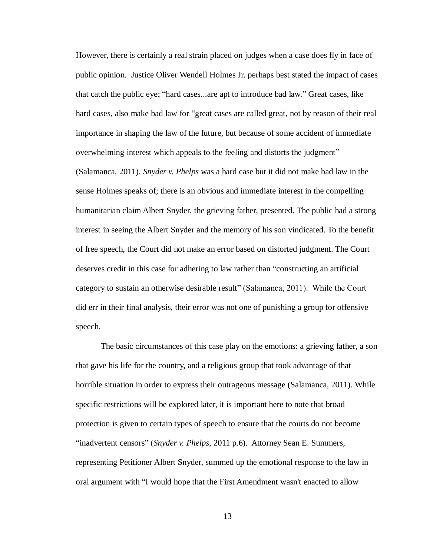However, there is certainly a real strain placed on judges when a case does fly in face of public opinion. Justice Oliver Wendell Holmes Jr. perhaps best stated the impact of cases that catch the public eye; "hard cases...are apt to introduce bad law." Great cases, like hard cases, also make bad law for "great cases are called great, not by reason of their real importance in shaping the law of the future, but because of some accident of immediate overwhelming interest which appeals to the feeling and distorts the judgment" (Salamanca, 2011). *Snyder v. Phelps* was a hard case but it did not make bad law in the sense Holmes speaks of; there is an obvious and immediate interest in the compelling humanitarian claim Albert Snyder, the grieving father, presented. The public had a strong interest in seeing the Albert Snyder and the memory of his son vindicated. To the benefit of free speech, the Court did not make an error based on distorted judgment. The Court deserves credit in this case for adhering to law rather than "constructing an artificial category to sustain an otherwise desirable result" (Salamanca, 2011). While the Court did err in their final analysis, their error was not one of punishing a group for offensive speech.

The basic circumstances of this case play on the emotions: a grieving father, a son that gave his life for the country, and a religious group that took advantage of that horrible situation in order to express their outrageous message (Salamanca, 2011). While specific restrictions will be explored later, it is important here to note that broad protection is given to certain types of speech to ensure that the courts do not become "inadvertent censors" (*Snyder v. Phelps*, 2011 p.6). Attorney Sean E. Summers, representing Petitioner Albert Snyder, summed up the emotional response to the law in oral argument with "I would hope that the First Amendment wasn't enacted to allow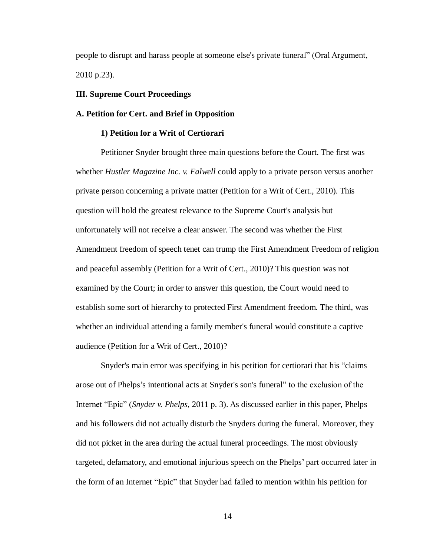people to disrupt and harass people at someone else's private funeral" (Oral Argument, 2010 p.23).

## **III. Supreme Court Proceedings**

## **A. Petition for Cert. and Brief in Opposition**

#### **1) Petition for a Writ of Certiorari**

Petitioner Snyder brought three main questions before the Court. The first was whether *Hustler Magazine Inc. v. Falwell* could apply to a private person versus another private person concerning a private matter (Petition for a Writ of Cert., 2010). This question will hold the greatest relevance to the Supreme Court's analysis but unfortunately will not receive a clear answer. The second was whether the First Amendment freedom of speech tenet can trump the First Amendment Freedom of religion and peaceful assembly (Petition for a Writ of Cert., 2010)? This question was not examined by the Court; in order to answer this question, the Court would need to establish some sort of hierarchy to protected First Amendment freedom. The third, was whether an individual attending a family member's funeral would constitute a captive audience (Petition for a Writ of Cert., 2010)?

Snyder's main error was specifying in his petition for certiorari that his "claims arose out of Phelps's intentional acts at Snyder's son's funeral" to the exclusion of the Internet "Epic" (*Snyder v. Phelps*, 2011 p. 3). As discussed earlier in this paper, Phelps and his followers did not actually disturb the Snyders during the funeral. Moreover, they did not picket in the area during the actual funeral proceedings. The most obviously targeted, defamatory, and emotional injurious speech on the Phelps' part occurred later in the form of an Internet "Epic" that Snyder had failed to mention within his petition for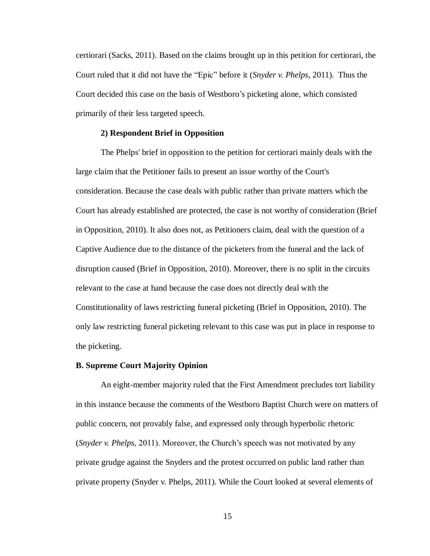certiorari (Sacks, 2011). Based on the claims brought up in this petition for certiorari, the Court ruled that it did not have the "Epic" before it (*Snyder v. Phelps*, 2011). Thus the Court decided this case on the basis of Westboro's picketing alone, which consisted primarily of their less targeted speech.

## **2) Respondent Brief in Opposition**

The Phelps' brief in opposition to the petition for certiorari mainly deals with the large claim that the Petitioner fails to present an issue worthy of the Court's consideration. Because the case deals with public rather than private matters which the Court has already established are protected, the case is not worthy of consideration (Brief in Opposition, 2010). It also does not, as Petitioners claim, deal with the question of a Captive Audience due to the distance of the picketers from the funeral and the lack of disruption caused (Brief in Opposition, 2010). Moreover, there is no split in the circuits relevant to the case at hand because the case does not directly deal with the Constitutionality of laws restricting funeral picketing (Brief in Opposition, 2010). The only law restricting funeral picketing relevant to this case was put in place in response to the picketing.

#### **B. Supreme Court Majority Opinion**

An eight-member majority ruled that the First Amendment precludes tort liability in this instance because the comments of the Westboro Baptist Church were on matters of public concern, not provably false, and expressed only through hyperbolic rhetoric (*Snyder v. Phelps*, 2011). Moreover, the Church's speech was not motivated by any private grudge against the Snyders and the protest occurred on public land rather than private property (Snyder v. Phelps, 2011). While the Court looked at several elements of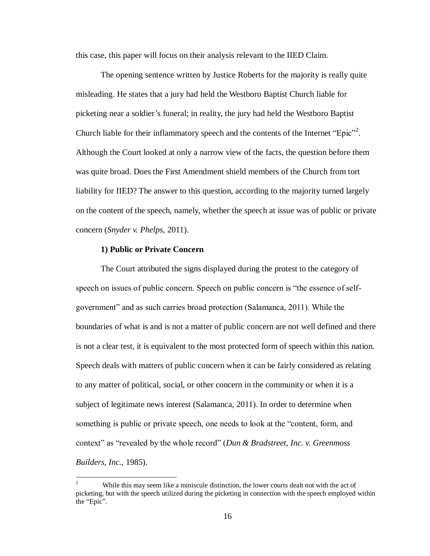this case, this paper will focus on their analysis relevant to the IIED Claim.

The opening sentence written by Justice Roberts for the majority is really quite misleading. He states that a jury had held the Westboro Baptist Church liable for picketing near a soldier's funeral; in reality, the jury had held the Westboro Baptist Church liable for their inflammatory speech and the contents of the Internet "Epic"<sup>2</sup>. Although the Court looked at only a narrow view of the facts, the question before them was quite broad. Does the First Amendment shield members of the Church from tort liability for IIED? The answer to this question, according to the majority turned largely on the content of the speech, namely, whether the speech at issue was of public or private concern (*Snyder v. Phelps*, 2011).

## **1) Public or Private Concern**

The Court attributed the signs displayed during the protest to the category of speech on issues of public concern. Speech on public concern is "the essence of selfgovernment" and as such carries broad protection (Salamanca, 2011). While the boundaries of what is and is not a matter of public concern are not well defined and there is not a clear test, it is equivalent to the most protected form of speech within this nation. Speech deals with matters of public concern when it can be fairly considered as relating to any matter of political, social, or other concern in the community or when it is a subject of legitimate news interest (Salamanca, 2011). In order to determine when something is public or private speech, one needs to look at the "content, form, and context" as "revealed by the whole record" (*Dun & Bradstreet, Inc. v. Greenmoss Builders, Inc.*, 1985).

 $\overline{c}$ While this may seem like a miniscule distinction, the lower courts dealt not with the act of picketing, but with the speech utilized during the picketing in connection with the speech employed within the "Epic".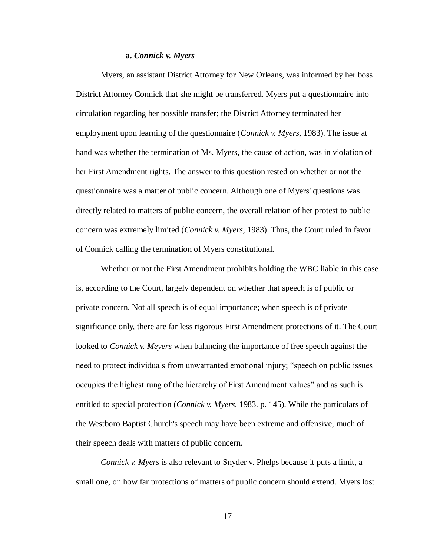#### **a.** *Connick v. Myers*

Myers, an assistant District Attorney for New Orleans, was informed by her boss District Attorney Connick that she might be transferred. Myers put a questionnaire into circulation regarding her possible transfer; the District Attorney terminated her employment upon learning of the questionnaire (*Connick v. Myers*, 1983). The issue at hand was whether the termination of Ms. Myers, the cause of action, was in violation of her First Amendment rights. The answer to this question rested on whether or not the questionnaire was a matter of public concern. Although one of Myers' questions was directly related to matters of public concern, the overall relation of her protest to public concern was extremely limited (*Connick v. Myers*, 1983). Thus, the Court ruled in favor of Connick calling the termination of Myers constitutional.

Whether or not the First Amendment prohibits holding the WBC liable in this case is, according to the Court, largely dependent on whether that speech is of public or private concern. Not all speech is of equal importance; when speech is of private significance only, there are far less rigorous First Amendment protections of it. The Court looked to *Connick v. Meyers* when balancing the importance of free speech against the need to protect individuals from unwarranted emotional injury; "speech on public issues occupies the highest rung of the hierarchy of First Amendment values" and as such is entitled to special protection (*Connick v. Myers*, 1983. p. 145). While the particulars of the Westboro Baptist Church's speech may have been extreme and offensive, much of their speech deals with matters of public concern.

*Connick v. Myers* is also relevant to Snyder v. Phelps because it puts a limit, a small one, on how far protections of matters of public concern should extend. Myers lost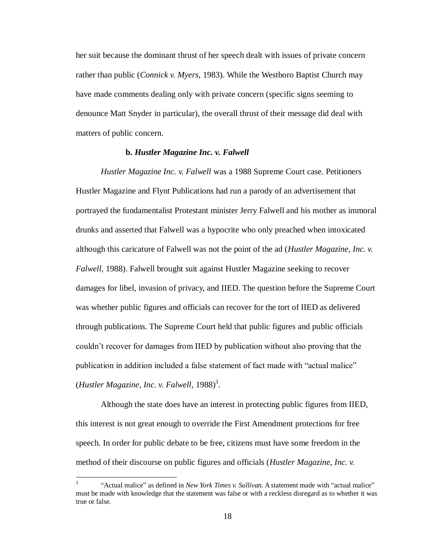her suit because the dominant thrust of her speech dealt with issues of private concern rather than public (*Connick v. Myers*, 1983). While the Westboro Baptist Church may have made comments dealing only with private concern (specific signs seeming to denounce Matt Snyder in particular), the overall thrust of their message did deal with matters of public concern.

## **b.** *Hustler Magazine Inc. v. Falwell*

*Hustler Magazine Inc. v. Falwell* was a 1988 Supreme Court case. Petitioners Hustler Magazine and Flynt Publications had run a parody of an advertisement that portrayed the fundamentalist Protestant minister Jerry Falwell and his mother as immoral drunks and asserted that Falwell was a hypocrite who only preached when intoxicated although this caricature of Falwell was not the point of the ad (*Hustler Magazine, Inc. v. Falwell*, 1988). Falwell brought suit against Hustler Magazine seeking to recover damages for libel, invasion of privacy, and IIED. The question before the Supreme Court was whether public figures and officials can recover for the tort of IIED as delivered through publications. The Supreme Court held that public figures and public officials couldn't recover for damages from IIED by publication without also proving that the publication in addition included a false statement of fact made with "actual malice" (*Hustler Magazine, Inc. v. Falwell*, 1988)<sup>3</sup>.

Although the state does have an interest in protecting public figures from IIED, this interest is not great enough to override the First Amendment protections for free speech. In order for public debate to be free, citizens must have some freedom in the method of their discourse on public figures and officials (*Hustler Magazine, Inc. v.* 

 $\overline{a}$ 

<sup>3</sup> "Actual malice" as defined in *New York Times v. Sullivan*. A statement made with "actual malice" must be made with knowledge that the statement was false or with a reckless disregard as to whether it was true or false.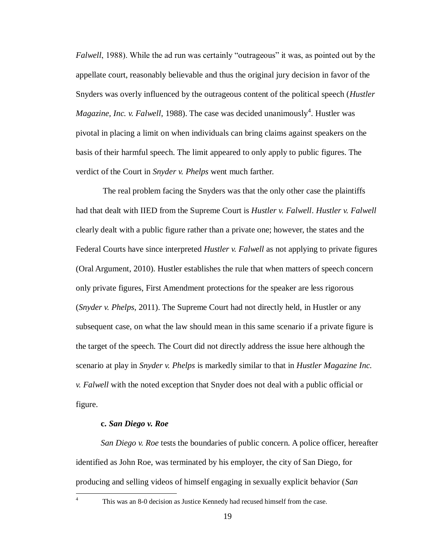*Falwell*, 1988). While the ad run was certainly "outrageous" it was, as pointed out by the appellate court, reasonably believable and thus the original jury decision in favor of the Snyders was overly influenced by the outrageous content of the political speech (*Hustler Magazine, Inc. v. Falwell,* 1988). The case was decided unanimously<sup>4</sup>. Hustler was pivotal in placing a limit on when individuals can bring claims against speakers on the basis of their harmful speech. The limit appeared to only apply to public figures. The verdict of the Court in *Snyder v. Phelps* went much farther.

The real problem facing the Snyders was that the only other case the plaintiffs had that dealt with IIED from the Supreme Court is *Hustler v. Falwell*. *Hustler v. Falwell* clearly dealt with a public figure rather than a private one; however, the states and the Federal Courts have since interpreted *Hustler v. Falwell* as not applying to private figures (Oral Argument, 2010). Hustler establishes the rule that when matters of speech concern only private figures, First Amendment protections for the speaker are less rigorous (*Snyder v. Phelps*, 2011). The Supreme Court had not directly held, in Hustler or any subsequent case, on what the law should mean in this same scenario if a private figure is the target of the speech. The Court did not directly address the issue here although the scenario at play in *Snyder v. Phelps* is markedly similar to that in *Hustler Magazine Inc. v. Falwell* with the noted exception that Snyder does not deal with a public official or figure.

## **c.** *San Diego v. Roe*

*San Diego v. Roe* tests the boundaries of public concern. A police officer, hereafter identified as John Roe, was terminated by his employer, the city of San Diego, for producing and selling videos of himself engaging in sexually explicit behavior (*San* 

 $\overline{4}$ 

This was an 8-0 decision as Justice Kennedy had recused himself from the case.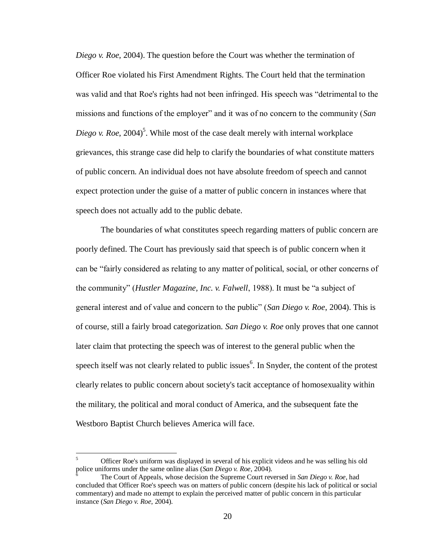*Diego v. Roe*, 2004). The question before the Court was whether the termination of Officer Roe violated his First Amendment Rights. The Court held that the termination was valid and that Roe's rights had not been infringed. His speech was "detrimental to the missions and functions of the employer" and it was of no concern to the community (*San*   $Diego v. Roe, 2004<sup>5</sup>$ . While most of the case dealt merely with internal workplace grievances, this strange case did help to clarify the boundaries of what constitute matters of public concern. An individual does not have absolute freedom of speech and cannot expect protection under the guise of a matter of public concern in instances where that speech does not actually add to the public debate.

The boundaries of what constitutes speech regarding matters of public concern are poorly defined. The Court has previously said that speech is of public concern when it can be "fairly considered as relating to any matter of political, social, or other concerns of the community" (*Hustler Magazine, Inc. v. Falwell*, 1988). It must be "a subject of general interest and of value and concern to the public" (*San Diego v. Roe*, 2004). This is of course, still a fairly broad categorization. *San Diego v. Roe* only proves that one cannot later claim that protecting the speech was of interest to the general public when the speech itself was not clearly related to public issues<sup>6</sup>. In Snyder, the content of the protest clearly relates to public concern about society's tacit acceptance of homosexuality within the military, the political and moral conduct of America, and the subsequent fate the Westboro Baptist Church believes America will face.

 $\mathfrak{S}$ <sup>5</sup> Officer Roe's uniform was displayed in several of his explicit videos and he was selling his old police uniforms under the same online alias (*San Diego v. Roe*, 2004).

<sup>6</sup> The Court of Appeals, whose decision the Supreme Court reversed in *San Diego v. Roe,* had concluded that Officer Roe's speech was on matters of public concern (despite his lack of political or social commentary) and made no attempt to explain the perceived matter of public concern in this particular instance (*San Diego v. Roe*, 2004).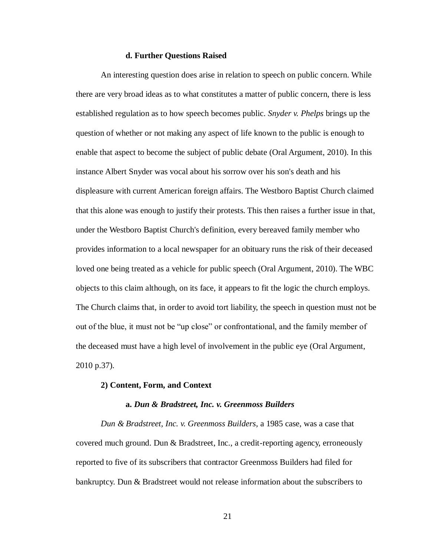#### **d. Further Questions Raised**

An interesting question does arise in relation to speech on public concern. While there are very broad ideas as to what constitutes a matter of public concern, there is less established regulation as to how speech becomes public. *Snyder v. Phelps* brings up the question of whether or not making any aspect of life known to the public is enough to enable that aspect to become the subject of public debate (Oral Argument, 2010). In this instance Albert Snyder was vocal about his sorrow over his son's death and his displeasure with current American foreign affairs. The Westboro Baptist Church claimed that this alone was enough to justify their protests. This then raises a further issue in that, under the Westboro Baptist Church's definition, every bereaved family member who provides information to a local newspaper for an obituary runs the risk of their deceased loved one being treated as a vehicle for public speech (Oral Argument, 2010). The WBC objects to this claim although, on its face, it appears to fit the logic the church employs. The Church claims that, in order to avoid tort liability, the speech in question must not be out of the blue, it must not be "up close" or confrontational, and the family member of the deceased must have a high level of involvement in the public eye (Oral Argument, 2010 p.37).

#### **2) Content, Form, and Context**

#### **a.** *Dun & Bradstreet, Inc. v. Greenmoss Builders*

*Dun & Bradstreet, Inc. v. Greenmoss Builders*, a 1985 case, was a case that covered much ground. Dun & Bradstreet, Inc., a credit-reporting agency, erroneously reported to five of its subscribers that contractor Greenmoss Builders had filed for bankruptcy. Dun & Bradstreet would not release information about the subscribers to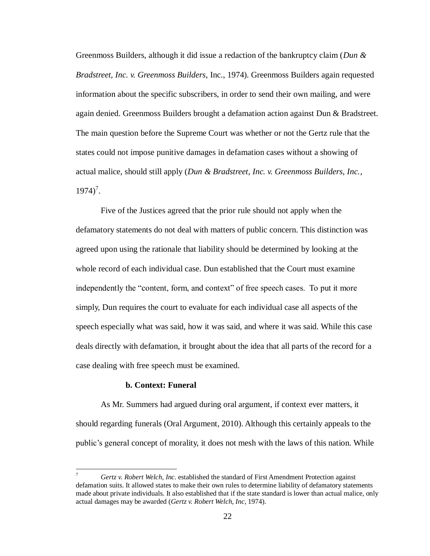Greenmoss Builders, although it did issue a redaction of the bankruptcy claim (*Dun & Bradstreet, Inc. v. Greenmoss Builders*, Inc., 1974). Greenmoss Builders again requested information about the specific subscribers, in order to send their own mailing, and were again denied. Greenmoss Builders brought a defamation action against Dun & Bradstreet. The main question before the Supreme Court was whether or not the Gertz rule that the states could not impose punitive damages in defamation cases without a showing of actual malice, should still apply (*Dun & Bradstreet, Inc. v. Greenmoss Builders, Inc.*,  $1974$ <sup>7</sup>.

Five of the Justices agreed that the prior rule should not apply when the defamatory statements do not deal with matters of public concern. This distinction was agreed upon using the rationale that liability should be determined by looking at the whole record of each individual case. Dun established that the Court must examine independently the "content, form, and context" of free speech cases. To put it more simply, Dun requires the court to evaluate for each individual case all aspects of the speech especially what was said, how it was said, and where it was said. While this case deals directly with defamation, it brought about the idea that all parts of the record for a case dealing with free speech must be examined.

## **b. Context: Funeral**

 $\overline{a}$ 

As Mr. Summers had argued during oral argument, if context ever matters, it should regarding funerals (Oral Argument, 2010). Although this certainly appeals to the public's general concept of morality, it does not mesh with the laws of this nation. While

<sup>7</sup> *Gertz v. Robert Welch, Inc.* established the standard of First Amendment Protection against defamation suits. It allowed states to make their own rules to determine liability of defamatory statements made about private individuals. It also established that if the state standard is lower than actual malice, only actual damages may be awarded (*Gertz v. Robert Welch, Inc*, 1974).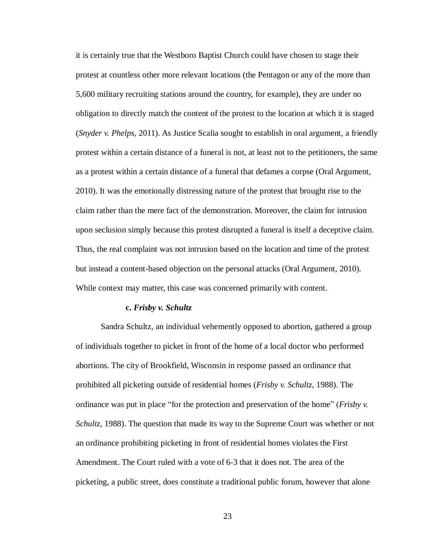it is certainly true that the Westboro Baptist Church could have chosen to stage their protest at countless other more relevant locations (the Pentagon or any of the more than 5,600 military recruiting stations around the country, for example), they are under no obligation to directly match the content of the protest to the location at which it is staged (*Snyder v. Phelps*, 2011). As Justice Scalia sought to establish in oral argument, a friendly protest within a certain distance of a funeral is not, at least not to the petitioners, the same as a protest within a certain distance of a funeral that defames a corpse (Oral Argument, 2010). It was the emotionally distressing nature of the protest that brought rise to the claim rather than the mere fact of the demonstration. Moreover, the claim for intrusion upon seclusion simply because this protest disrupted a funeral is itself a deceptive claim. Thus, the real complaint was not intrusion based on the location and time of the protest but instead a content-based objection on the personal attacks (Oral Argument, 2010). While context may matter, this case was concerned primarily with content.

#### **c.** *Frisby v. Schultz*

Sandra Schultz, an individual vehemently opposed to abortion, gathered a group of individuals together to picket in front of the home of a local doctor who performed abortions. The city of Brookfield, Wisconsin in response passed an ordinance that prohibited all picketing outside of residential homes (*Frisby v. Schultz*, 1988). The ordinance was put in place "for the protection and preservation of the home" (*Frisby v. Schultz*, 1988). The question that made its way to the Supreme Court was whether or not an ordinance prohibiting picketing in front of residential homes violates the First Amendment. The Court ruled with a vote of 6-3 that it does not. The area of the picketing, a public street, does constitute a traditional public forum, however that alone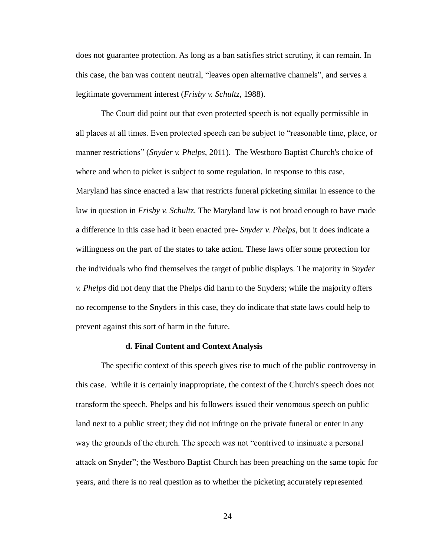does not guarantee protection. As long as a ban satisfies strict scrutiny, it can remain. In this case, the ban was content neutral, "leaves open alternative channels", and serves a legitimate government interest (*Frisby v. Schultz*, 1988).

The Court did point out that even protected speech is not equally permissible in all places at all times. Even protected speech can be subject to "reasonable time, place, or manner restrictions" (*Snyder v. Phelps*, 2011). The Westboro Baptist Church's choice of where and when to picket is subject to some regulation. In response to this case, Maryland has since enacted a law that restricts funeral picketing similar in essence to the law in question in *Frisby v. Schultz*. The Maryland law is not broad enough to have made a difference in this case had it been enacted pre- *Snyder v. Phelps*, but it does indicate a willingness on the part of the states to take action. These laws offer some protection for the individuals who find themselves the target of public displays. The majority in *Snyder v. Phelps* did not deny that the Phelps did harm to the Snyders; while the majority offers no recompense to the Snyders in this case, they do indicate that state laws could help to prevent against this sort of harm in the future.

#### **d. Final Content and Context Analysis**

The specific context of this speech gives rise to much of the public controversy in this case. While it is certainly inappropriate, the context of the Church's speech does not transform the speech. Phelps and his followers issued their venomous speech on public land next to a public street; they did not infringe on the private funeral or enter in any way the grounds of the church. The speech was not "contrived to insinuate a personal attack on Snyder"; the Westboro Baptist Church has been preaching on the same topic for years, and there is no real question as to whether the picketing accurately represented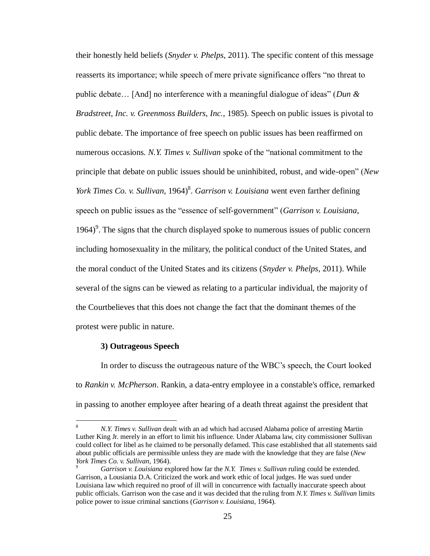their honestly held beliefs (*Snyder v. Phelps*, 2011). The specific content of this message reasserts its importance; while speech of mere private significance offers "no threat to public debate… [And] no interference with a meaningful dialogue of ideas" (*Dun & Bradstreet, Inc. v. Greenmoss Builders, Inc.*, 1985). Speech on public issues is pivotal to public debate. The importance of free speech on public issues has been reaffirmed on numerous occasions. *N.Y. Times v. Sullivan* spoke of the "national commitment to the principle that debate on public issues should be uninhibited, robust, and wide-open" (*New York Times Co. v. Sullivan,* 1964)<sup>8</sup>. *Garrison v. Louisiana* went even farther defining speech on public issues as the "essence of self-government" (*Garrison v. Louisiana*, 1964)<sup>9</sup>. The signs that the church displayed spoke to numerous issues of public concern including homosexuality in the military, the political conduct of the United States, and the moral conduct of the United States and its citizens (*Snyder v. Phelps*, 2011). While several of the signs can be viewed as relating to a particular individual, the majority of the Courtbelieves that this does not change the fact that the dominant themes of the protest were public in nature.

#### **3) Outrageous Speech**

In order to discuss the outrageous nature of the WBC's speech, the Court looked to *Rankin v. McPherson*. Rankin, a data-entry employee in a constable's office, remarked in passing to another employee after hearing of a death threat against the president that

<sup>8</sup> <sup>8</sup> *N.Y. Times v. Sullivan* dealt with an ad which had accused Alabama police of arresting Martin Luther King Jr. merely in an effort to limit his influence. Under Alabama law, city commissioner Sullivan could collect for libel as he claimed to be personally defamed. This case established that all statements said about public officials are permissible unless they are made with the knowledge that they are false (*New York Times Co. v. Sullivan*, 1964).

<sup>9</sup> *Garrison v. Louisiana* explored how far the *N.Y. Times v. Sullivan* ruling could be extended. Garrison, a Lousiania D.A. Criticized the work and work ethic of local judges. He was sued under Louisiana law which required no proof of ill will in concurrence with factually inaccurate speech about public officials. Garrison won the case and it was decided that the ruling from *N.Y. Times v. Sullivan* limits police power to issue criminal sanctions (*Garrison v. Louisiana*, 1964).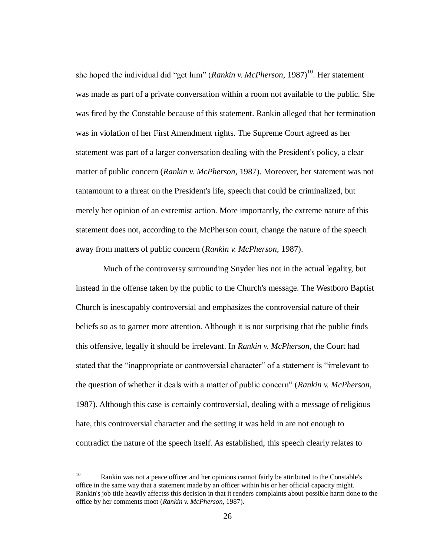she hoped the individual did "get him" (*Rankin v. McPherson*, 1987)<sup>10</sup>. Her statement was made as part of a private conversation within a room not available to the public. She was fired by the Constable because of this statement. Rankin alleged that her termination was in violation of her First Amendment rights. The Supreme Court agreed as her statement was part of a larger conversation dealing with the President's policy, a clear matter of public concern (*Rankin v. McPherson*, 1987). Moreover, her statement was not tantamount to a threat on the President's life, speech that could be criminalized, but merely her opinion of an extremist action. More importantly, the extreme nature of this statement does not, according to the McPherson court, change the nature of the speech away from matters of public concern (*Rankin v. McPherson*, 1987).

Much of the controversy surrounding Snyder lies not in the actual legality, but instead in the offense taken by the public to the Church's message. The Westboro Baptist Church is inescapably controversial and emphasizes the controversial nature of their beliefs so as to garner more attention. Although it is not surprising that the public finds this offensive, legally it should be irrelevant. In *Rankin v. McPherson*, the Court had stated that the "inappropriate or controversial character" of a statement is "irrelevant to the question of whether it deals with a matter of public concern" (*Rankin v. McPherson*, 1987). Although this case is certainly controversial, dealing with a message of religious hate, this controversial character and the setting it was held in are not enough to contradict the nature of the speech itself. As established, this speech clearly relates to

 $10\,$ Rankin was not a peace officer and her opinions cannot fairly be attributed to the Constable's office in the same way that a statement made by an officer within his or her official capacity might. Rankin's job title heavily affectss this decision in that it renders complaints about possible harm done to the office by her comments moot (*Rankin v. McPherson*, 1987).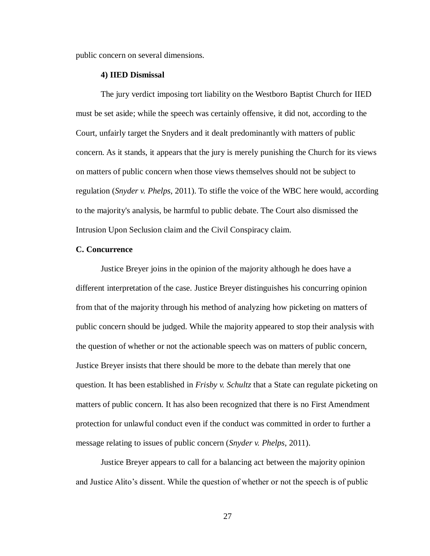public concern on several dimensions.

## **4) IIED Dismissal**

The jury verdict imposing tort liability on the Westboro Baptist Church for IIED must be set aside; while the speech was certainly offensive, it did not, according to the Court, unfairly target the Snyders and it dealt predominantly with matters of public concern. As it stands, it appears that the jury is merely punishing the Church for its views on matters of public concern when those views themselves should not be subject to regulation (*Snyder v. Phelps*, 2011). To stifle the voice of the WBC here would, according to the majority's analysis, be harmful to public debate. The Court also dismissed the Intrusion Upon Seclusion claim and the Civil Conspiracy claim.

## **C. Concurrence**

Justice Breyer joins in the opinion of the majority although he does have a different interpretation of the case. Justice Breyer distinguishes his concurring opinion from that of the majority through his method of analyzing how picketing on matters of public concern should be judged. While the majority appeared to stop their analysis with the question of whether or not the actionable speech was on matters of public concern, Justice Breyer insists that there should be more to the debate than merely that one question. It has been established in *Frisby v. Schultz* that a State can regulate picketing on matters of public concern. It has also been recognized that there is no First Amendment protection for unlawful conduct even if the conduct was committed in order to further a message relating to issues of public concern (*Snyder v. Phelps*, 2011).

Justice Breyer appears to call for a balancing act between the majority opinion and Justice Alito's dissent. While the question of whether or not the speech is of public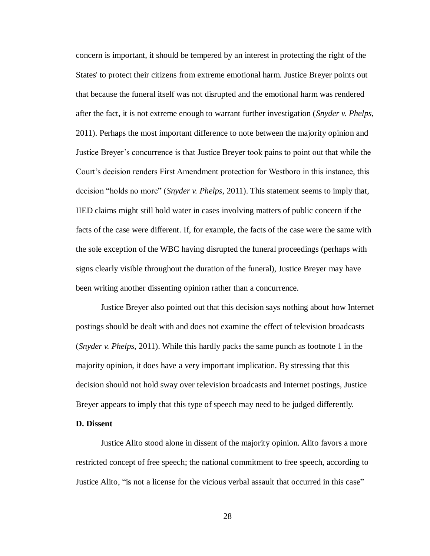concern is important, it should be tempered by an interest in protecting the right of the States' to protect their citizens from extreme emotional harm. Justice Breyer points out that because the funeral itself was not disrupted and the emotional harm was rendered after the fact, it is not extreme enough to warrant further investigation (*Snyder v. Phelps*, 2011). Perhaps the most important difference to note between the majority opinion and Justice Breyer's concurrence is that Justice Breyer took pains to point out that while the Court's decision renders First Amendment protection for Westboro in this instance, this decision "holds no more" (*Snyder v. Phelps*, 2011). This statement seems to imply that, IIED claims might still hold water in cases involving matters of public concern if the facts of the case were different. If, for example, the facts of the case were the same with the sole exception of the WBC having disrupted the funeral proceedings (perhaps with signs clearly visible throughout the duration of the funeral), Justice Breyer may have been writing another dissenting opinion rather than a concurrence.

Justice Breyer also pointed out that this decision says nothing about how Internet postings should be dealt with and does not examine the effect of television broadcasts (*Snyder v. Phelps*, 2011). While this hardly packs the same punch as footnote 1 in the majority opinion, it does have a very important implication. By stressing that this decision should not hold sway over television broadcasts and Internet postings, Justice Breyer appears to imply that this type of speech may need to be judged differently.

## **D. Dissent**

Justice Alito stood alone in dissent of the majority opinion. Alito favors a more restricted concept of free speech; the national commitment to free speech, according to Justice Alito, "is not a license for the vicious verbal assault that occurred in this case"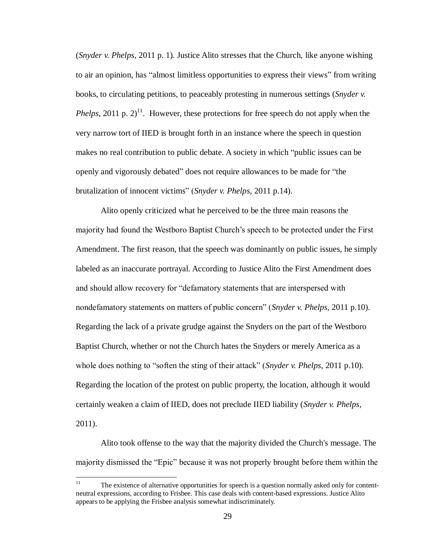(*Snyder v. Phelps*, 2011 p. 1). Justice Alito stresses that the Church, like anyone wishing to air an opinion, has "almost limitless opportunities to express their views" from writing books, to circulating petitions, to peaceably protesting in numerous settings (*Snyder v. Phelps*, 2011 p.  $2$ <sup>11</sup>. However, these protections for free speech do not apply when the very narrow tort of IIED is brought forth in an instance where the speech in question makes no real contribution to public debate. A society in which "public issues can be openly and vigorously debated" does not require allowances to be made for "the brutalization of innocent victims" (*Snyder v. Phelps*, 2011 p.14).

Alito openly criticized what he perceived to be the three main reasons the majority had found the Westboro Baptist Church's speech to be protected under the First Amendment. The first reason, that the speech was dominantly on public issues, he simply labeled as an inaccurate portrayal. According to Justice Alito the First Amendment does and should allow recovery for "defamatory statements that are interspersed with nondefamatory statements on matters of public concern" (*Snyder v. Phelps*, 2011 p.10). Regarding the lack of a private grudge against the Snyders on the part of the Westboro Baptist Church, whether or not the Church hates the Snyders or merely America as a whole does nothing to "soften the sting of their attack" (*Snyder v. Phelps*, 2011 p.10). Regarding the location of the protest on public property, the location, although it would certainly weaken a claim of IIED, does not preclude IIED liability (*Snyder v. Phelps*, 2011).

Alito took offense to the way that the majority divided the Church's message. The majority dismissed the "Epic" because it was not properly brought before them within the

 $11$ The existence of alternative opportunities for speech is a question normally asked only for contentneutral expressions, according to Frisbee. This case deals with content-based expressions. Justice Alito appears to be applying the Frisbee analysis somewhat indiscriminately.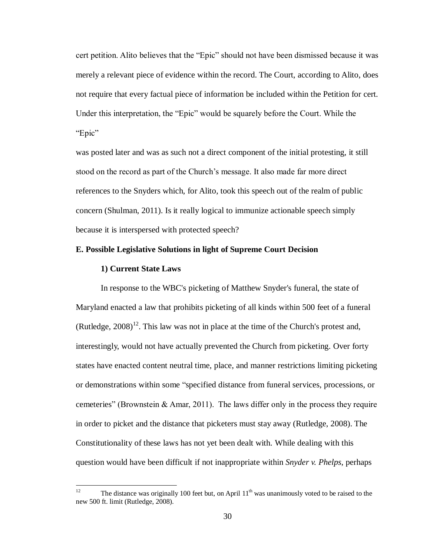cert petition. Alito believes that the "Epic" should not have been dismissed because it was merely a relevant piece of evidence within the record. The Court, according to Alito, does not require that every factual piece of information be included within the Petition for cert. Under this interpretation, the "Epic" would be squarely before the Court. While the "Epic"

was posted later and was as such not a direct component of the initial protesting, it still stood on the record as part of the Church's message. It also made far more direct references to the Snyders which, for Alito, took this speech out of the realm of public concern (Shulman, 2011). Is it really logical to immunize actionable speech simply because it is interspersed with protected speech?

## **E. Possible Legislative Solutions in light of Supreme Court Decision**

#### **1) Current State Laws**

In response to the WBC's picketing of Matthew Snyder's funeral, the state of Maryland enacted a law that prohibits picketing of all kinds within 500 feet of a funeral (Rutledge,  $2008$ )<sup>12</sup>. This law was not in place at the time of the Church's protest and, interestingly, would not have actually prevented the Church from picketing. Over forty states have enacted content neutral time, place, and manner restrictions limiting picketing or demonstrations within some "specified distance from funeral services, processions, or cemeteries" (Brownstein & Amar, 2011). The laws differ only in the process they require in order to picket and the distance that picketers must stay away (Rutledge, 2008). The Constitutionality of these laws has not yet been dealt with. While dealing with this question would have been difficult if not inappropriate within *Snyder v. Phelps*, perhaps

 $12$ The distance was originally 100 feet but, on April  $11<sup>th</sup>$  was unanimously voted to be raised to the new 500 ft. limit (Rutledge, 2008).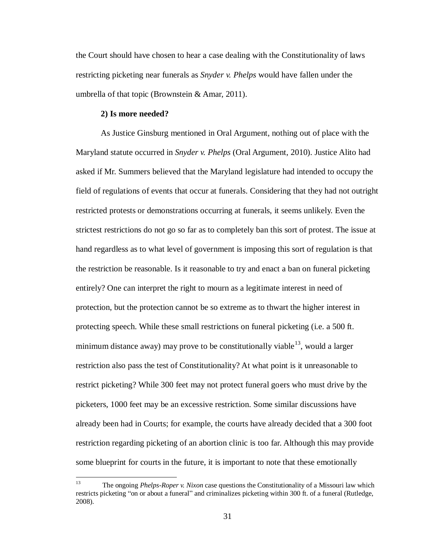the Court should have chosen to hear a case dealing with the Constitutionality of laws restricting picketing near funerals as *Snyder v. Phelps* would have fallen under the umbrella of that topic (Brownstein & Amar, 2011).

## **2) Is more needed?**

As Justice Ginsburg mentioned in Oral Argument, nothing out of place with the Maryland statute occurred in *Snyder v. Phelps* (Oral Argument, 2010). Justice Alito had asked if Mr. Summers believed that the Maryland legislature had intended to occupy the field of regulations of events that occur at funerals. Considering that they had not outright restricted protests or demonstrations occurring at funerals, it seems unlikely. Even the strictest restrictions do not go so far as to completely ban this sort of protest. The issue at hand regardless as to what level of government is imposing this sort of regulation is that the restriction be reasonable. Is it reasonable to try and enact a ban on funeral picketing entirely? One can interpret the right to mourn as a legitimate interest in need of protection, but the protection cannot be so extreme as to thwart the higher interest in protecting speech. While these small restrictions on funeral picketing (i.e. a 500 ft. minimum distance away) may prove to be constitutionally viable  $13$ , would a larger restriction also pass the test of Constitutionality? At what point is it unreasonable to restrict picketing? While 300 feet may not protect funeral goers who must drive by the picketers, 1000 feet may be an excessive restriction. Some similar discussions have already been had in Courts; for example, the courts have already decided that a 300 foot restriction regarding picketing of an abortion clinic is too far. Although this may provide some blueprint for courts in the future, it is important to note that these emotionally

<sup>13</sup> <sup>13</sup> The ongoing *Phelps-Roper v. Nixon* case questions the Constitutionality of a Missouri law which restricts picketing "on or about a funeral" and criminalizes picketing within 300 ft. of a funeral (Rutledge, 2008).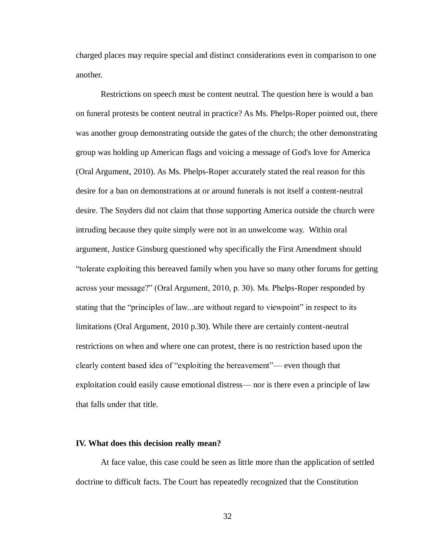charged places may require special and distinct considerations even in comparison to one another.

Restrictions on speech must be content neutral. The question here is would a ban on funeral protests be content neutral in practice? As Ms. Phelps-Roper pointed out, there was another group demonstrating outside the gates of the church; the other demonstrating group was holding up American flags and voicing a message of God's love for America (Oral Argument, 2010). As Ms. Phelps-Roper accurately stated the real reason for this desire for a ban on demonstrations at or around funerals is not itself a content-neutral desire. The Snyders did not claim that those supporting America outside the church were intruding because they quite simply were not in an unwelcome way. Within oral argument, Justice Ginsburg questioned why specifically the First Amendment should "tolerate exploiting this bereaved family when you have so many other forums for getting across your message?" (Oral Argument, 2010, p. 30). Ms. Phelps-Roper responded by stating that the "principles of law...are without regard to viewpoint" in respect to its limitations (Oral Argument, 2010 p.30). While there are certainly content-neutral restrictions on when and where one can protest, there is no restriction based upon the clearly content based idea of "exploiting the bereavement"— even though that exploitation could easily cause emotional distress— nor is there even a principle of law that falls under that title.

#### **IV. What does this decision really mean?**

At face value, this case could be seen as little more than the application of settled doctrine to difficult facts. The Court has repeatedly recognized that the Constitution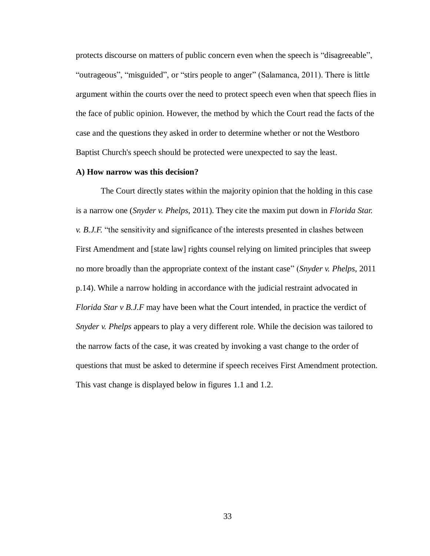protects discourse on matters of public concern even when the speech is "disagreeable", "outrageous", "misguided", or "stirs people to anger" (Salamanca, 2011). There is little argument within the courts over the need to protect speech even when that speech flies in the face of public opinion. However, the method by which the Court read the facts of the case and the questions they asked in order to determine whether or not the Westboro Baptist Church's speech should be protected were unexpected to say the least.

#### **A) How narrow was this decision?**

The Court directly states within the majority opinion that the holding in this case is a narrow one (*Snyder v. Phelps*, 2011). They cite the maxim put down in *Florida Star. v. B.J.F.* "the sensitivity and significance of the interests presented in clashes between First Amendment and [state law] rights counsel relying on limited principles that sweep no more broadly than the appropriate context of the instant case" (*Snyder v. Phelps*, 2011 p.14). While a narrow holding in accordance with the judicial restraint advocated in *Florida Star v B.J.F* may have been what the Court intended, in practice the verdict of *Snyder v. Phelps* appears to play a very different role. While the decision was tailored to the narrow facts of the case, it was created by invoking a vast change to the order of questions that must be asked to determine if speech receives First Amendment protection. This vast change is displayed below in figures 1.1 and 1.2.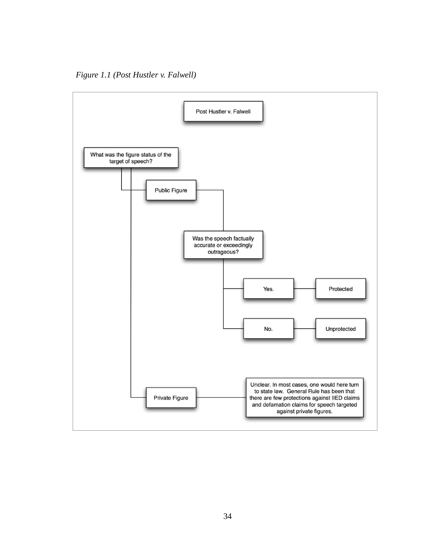*Figure 1.1 (Post Hustler v. Falwell)*

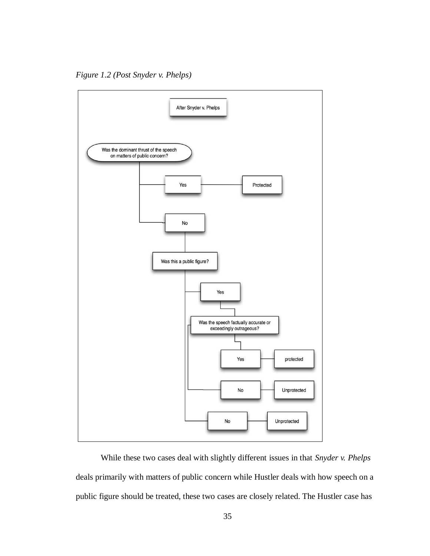*Figure 1.2 (Post Snyder v. Phelps)*



While these two cases deal with slightly different issues in that *Snyder v. Phelps* deals primarily with matters of public concern while Hustler deals with how speech on a public figure should be treated, these two cases are closely related. The Hustler case has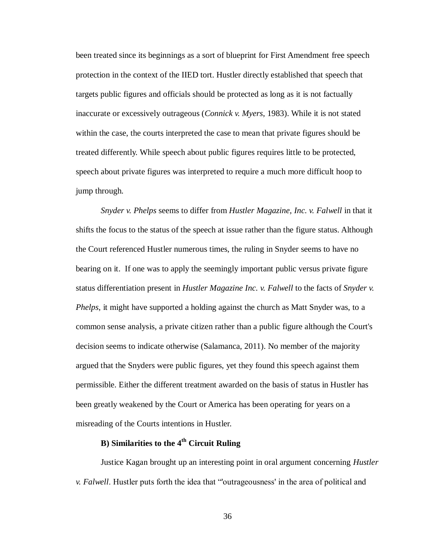been treated since its beginnings as a sort of blueprint for First Amendment free speech protection in the context of the IIED tort. Hustler directly established that speech that targets public figures and officials should be protected as long as it is not factually inaccurate or excessively outrageous (*Connick v. Myers*, 1983). While it is not stated within the case, the courts interpreted the case to mean that private figures should be treated differently. While speech about public figures requires little to be protected, speech about private figures was interpreted to require a much more difficult hoop to jump through.

*Snyder v. Phelps* seems to differ from *Hustler Magazine, Inc. v. Falwell* in that it shifts the focus to the status of the speech at issue rather than the figure status. Although the Court referenced Hustler numerous times, the ruling in Snyder seems to have no bearing on it. If one was to apply the seemingly important public versus private figure status differentiation present in *Hustler Magazine Inc. v. Falwell* to the facts of *Snyder v. Phelps*, it might have supported a holding against the church as Matt Snyder was, to a common sense analysis, a private citizen rather than a public figure although the Court's decision seems to indicate otherwise (Salamanca, 2011). No member of the majority argued that the Snyders were public figures, yet they found this speech against them permissible. Either the different treatment awarded on the basis of status in Hustler has been greatly weakened by the Court or America has been operating for years on a misreading of the Courts intentions in Hustler.

# **B) Similarities to the 4th Circuit Ruling**

Justice Kagan brought up an interesting point in oral argument concerning *Hustler v. Falwell*. Hustler puts forth the idea that "'outrageousness' in the area of political and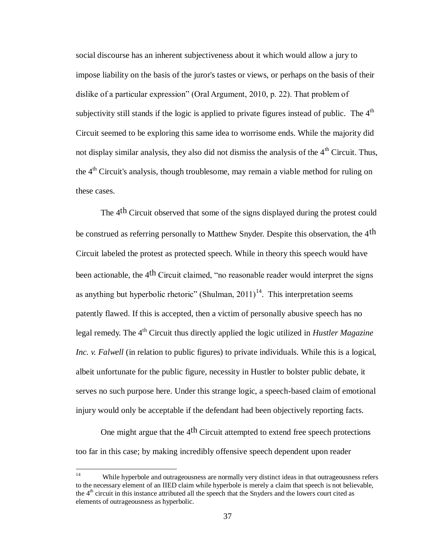social discourse has an inherent subjectiveness about it which would allow a jury to impose liability on the basis of the juror's tastes or views, or perhaps on the basis of their dislike of a particular expression" (Oral Argument, 2010, p. 22). That problem of subjectivity still stands if the logic is applied to private figures instead of public. The  $4<sup>th</sup>$ Circuit seemed to be exploring this same idea to worrisome ends. While the majority did not display similar analysis, they also did not dismiss the analysis of the  $4<sup>th</sup>$  Circuit. Thus, the  $4<sup>th</sup>$  Circuit's analysis, though troublesome, may remain a viable method for ruling on these cases.

The 4<sup>th</sup> Circuit observed that some of the signs displayed during the protest could be construed as referring personally to Matthew Snyder. Despite this observation, the 4<sup>th</sup> Circuit labeled the protest as protected speech. While in theory this speech would have been actionable, the 4<sup>th</sup> Circuit claimed, "no reasonable reader would interpret the signs as anything but hyperbolic rhetoric" (Shulman,  $2011$ )<sup>14</sup>. This interpretation seems patently flawed. If this is accepted, then a victim of personally abusive speech has no legal remedy. The 4<sup>th</sup> Circuit thus directly applied the logic utilized in *Hustler Magazine Inc. v. Falwell* (in relation to public figures) to private individuals. While this is a logical, albeit unfortunate for the public figure, necessity in Hustler to bolster public debate, it serves no such purpose here. Under this strange logic, a speech-based claim of emotional injury would only be acceptable if the defendant had been objectively reporting facts.

One might argue that the  $4<sup>th</sup>$  Circuit attempted to extend free speech protections too far in this case; by making incredibly offensive speech dependent upon reader

 $\overline{a}$ 

While hyperbole and outrageousness are normally very distinct ideas in that outrageousness refers to the necessary element of an IIED claim while hyperbole is merely a claim that speech is not believable, the 4<sup>th</sup> circuit in this instance attributed all the speech that the Snyders and the lowers court cited as elements of outrageousness as hyperbolic.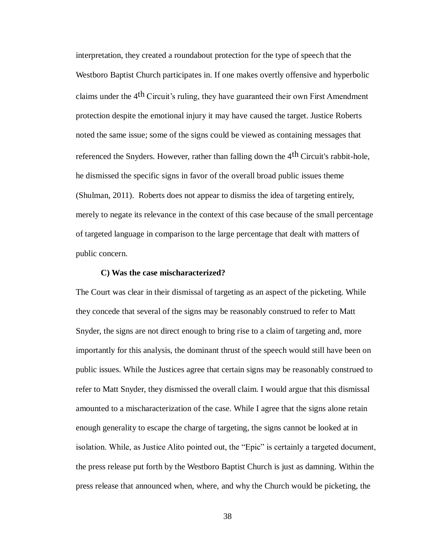interpretation, they created a roundabout protection for the type of speech that the Westboro Baptist Church participates in. If one makes overtly offensive and hyperbolic claims under the 4th Circuit's ruling, they have guaranteed their own First Amendment protection despite the emotional injury it may have caused the target. Justice Roberts noted the same issue; some of the signs could be viewed as containing messages that referenced the Snyders. However, rather than falling down the 4<sup>th</sup> Circuit's rabbit-hole, he dismissed the specific signs in favor of the overall broad public issues theme (Shulman, 2011). Roberts does not appear to dismiss the idea of targeting entirely, merely to negate its relevance in the context of this case because of the small percentage of targeted language in comparison to the large percentage that dealt with matters of public concern.

# **C) Was the case mischaracterized?**

The Court was clear in their dismissal of targeting as an aspect of the picketing. While they concede that several of the signs may be reasonably construed to refer to Matt Snyder, the signs are not direct enough to bring rise to a claim of targeting and, more importantly for this analysis, the dominant thrust of the speech would still have been on public issues. While the Justices agree that certain signs may be reasonably construed to refer to Matt Snyder, they dismissed the overall claim. I would argue that this dismissal amounted to a mischaracterization of the case. While I agree that the signs alone retain enough generality to escape the charge of targeting, the signs cannot be looked at in isolation. While, as Justice Alito pointed out, the "Epic" is certainly a targeted document, the press release put forth by the Westboro Baptist Church is just as damning. Within the press release that announced when, where, and why the Church would be picketing, the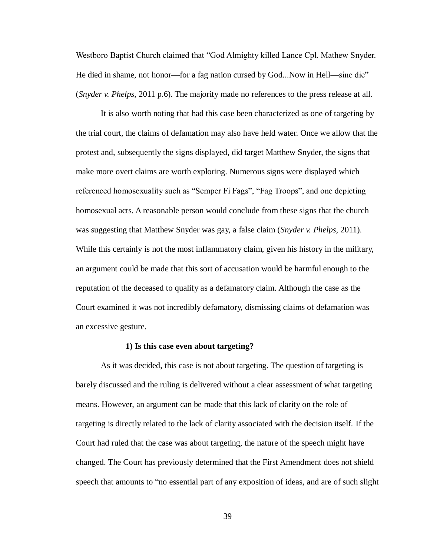Westboro Baptist Church claimed that "God Almighty killed Lance Cpl. Mathew Snyder. He died in shame, not honor—for a fag nation cursed by God...Now in Hell—sine die" (*Snyder v. Phelps*, 2011 p.6). The majority made no references to the press release at all.

It is also worth noting that had this case been characterized as one of targeting by the trial court, the claims of defamation may also have held water. Once we allow that the protest and, subsequently the signs displayed, did target Matthew Snyder, the signs that make more overt claims are worth exploring. Numerous signs were displayed which referenced homosexuality such as "Semper Fi Fags", "Fag Troops", and one depicting homosexual acts. A reasonable person would conclude from these signs that the church was suggesting that Matthew Snyder was gay, a false claim (*Snyder v. Phelps*, 2011). While this certainly is not the most inflammatory claim, given his history in the military, an argument could be made that this sort of accusation would be harmful enough to the reputation of the deceased to qualify as a defamatory claim. Although the case as the Court examined it was not incredibly defamatory, dismissing claims of defamation was an excessive gesture.

#### **1) Is this case even about targeting?**

As it was decided, this case is not about targeting. The question of targeting is barely discussed and the ruling is delivered without a clear assessment of what targeting means. However, an argument can be made that this lack of clarity on the role of targeting is directly related to the lack of clarity associated with the decision itself. If the Court had ruled that the case was about targeting, the nature of the speech might have changed. The Court has previously determined that the First Amendment does not shield speech that amounts to "no essential part of any exposition of ideas, and are of such slight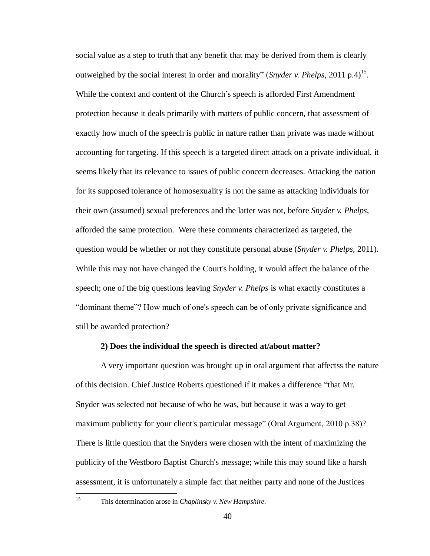social value as a step to truth that any benefit that may be derived from them is clearly outweighed by the social interest in order and morality" (*Snyder v. Phelps*, 2011 p.4)<sup>15</sup>. While the context and content of the Church's speech is afforded First Amendment protection because it deals primarily with matters of public concern, that assessment of exactly how much of the speech is public in nature rather than private was made without accounting for targeting. If this speech is a targeted direct attack on a private individual, it seems likely that its relevance to issues of public concern decreases. Attacking the nation for its supposed tolerance of homosexuality is not the same as attacking individuals for their own (assumed) sexual preferences and the latter was not, before *Snyder v. Phelps*, afforded the same protection. Were these comments characterized as targeted, the question would be whether or not they constitute personal abuse (*Snyder v. Phelps*, 2011). While this may not have changed the Court's holding, it would affect the balance of the speech; one of the big questions leaving *Snyder v. Phelps* is what exactly constitutes a "dominant theme"? How much of one's speech can be of only private significance and still be awarded protection?

## **2) Does the individual the speech is directed at/about matter?**

A very important question was brought up in oral argument that affectss the nature of this decision. Chief Justice Roberts questioned if it makes a difference "that Mr. Snyder was selected not because of who he was, but because it was a way to get maximum publicity for your client's particular message" (Oral Argument, 2010 p.38)? There is little question that the Snyders were chosen with the intent of maximizing the publicity of the Westboro Baptist Church's message; while this may sound like a harsh assessment, it is unfortunately a simple fact that neither party and none of the Justices

<sup>15</sup> This determination arose in *Chaplinsky v. New Hampshire*.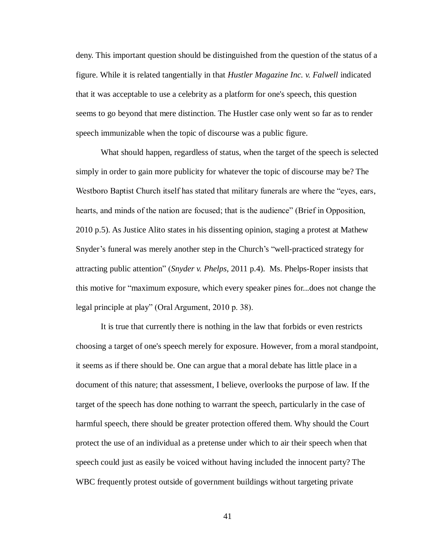deny. This important question should be distinguished from the question of the status of a figure. While it is related tangentially in that *Hustler Magazine Inc. v. Falwell* indicated that it was acceptable to use a celebrity as a platform for one's speech, this question seems to go beyond that mere distinction. The Hustler case only went so far as to render speech immunizable when the topic of discourse was a public figure.

What should happen, regardless of status, when the target of the speech is selected simply in order to gain more publicity for whatever the topic of discourse may be? The Westboro Baptist Church itself has stated that military funerals are where the "eyes, ears, hearts, and minds of the nation are focused; that is the audience" (Brief in Opposition, 2010 p.5). As Justice Alito states in his dissenting opinion, staging a protest at Mathew Snyder's funeral was merely another step in the Church's "well-practiced strategy for attracting public attention" (*Snyder v. Phelps*, 2011 p.4). Ms. Phelps-Roper insists that this motive for "maximum exposure, which every speaker pines for...does not change the legal principle at play" (Oral Argument, 2010 p. 38).

It is true that currently there is nothing in the law that forbids or even restricts choosing a target of one's speech merely for exposure. However, from a moral standpoint, it seems as if there should be. One can argue that a moral debate has little place in a document of this nature; that assessment, I believe, overlooks the purpose of law. If the target of the speech has done nothing to warrant the speech, particularly in the case of harmful speech, there should be greater protection offered them. Why should the Court protect the use of an individual as a pretense under which to air their speech when that speech could just as easily be voiced without having included the innocent party? The WBC frequently protest outside of government buildings without targeting private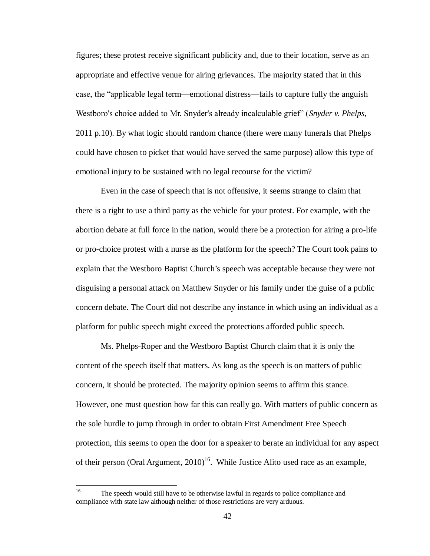figures; these protest receive significant publicity and, due to their location, serve as an appropriate and effective venue for airing grievances. The majority stated that in this case, the "applicable legal term—emotional distress—fails to capture fully the anguish Westboro's choice added to Mr. Snyder's already incalculable grief" (*Snyder v. Phelps*, 2011 p.10). By what logic should random chance (there were many funerals that Phelps could have chosen to picket that would have served the same purpose) allow this type of emotional injury to be sustained with no legal recourse for the victim?

Even in the case of speech that is not offensive, it seems strange to claim that there is a right to use a third party as the vehicle for your protest. For example, with the abortion debate at full force in the nation, would there be a protection for airing a pro-life or pro-choice protest with a nurse as the platform for the speech? The Court took pains to explain that the Westboro Baptist Church's speech was acceptable because they were not disguising a personal attack on Matthew Snyder or his family under the guise of a public concern debate. The Court did not describe any instance in which using an individual as a platform for public speech might exceed the protections afforded public speech.

Ms. Phelps-Roper and the Westboro Baptist Church claim that it is only the content of the speech itself that matters. As long as the speech is on matters of public concern, it should be protected. The majority opinion seems to affirm this stance. However, one must question how far this can really go. With matters of public concern as the sole hurdle to jump through in order to obtain First Amendment Free Speech protection, this seems to open the door for a speaker to berate an individual for any aspect of their person (Oral Argument,  $2010$ <sup>16</sup>. While Justice Alito used race as an example,

 $16$ <sup>16</sup> The speech would still have to be otherwise lawful in regards to police compliance and compliance with state law although neither of those restrictions are very arduous.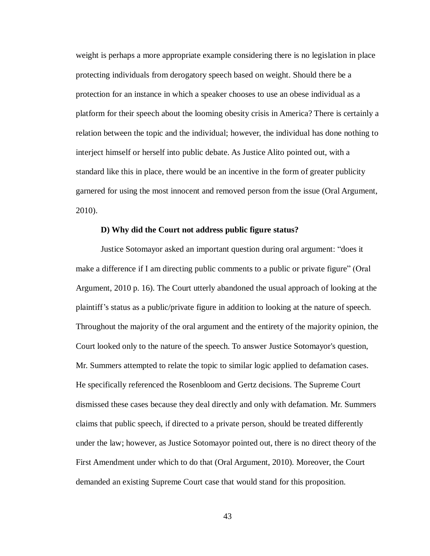weight is perhaps a more appropriate example considering there is no legislation in place protecting individuals from derogatory speech based on weight. Should there be a protection for an instance in which a speaker chooses to use an obese individual as a platform for their speech about the looming obesity crisis in America? There is certainly a relation between the topic and the individual; however, the individual has done nothing to interject himself or herself into public debate. As Justice Alito pointed out, with a standard like this in place, there would be an incentive in the form of greater publicity garnered for using the most innocent and removed person from the issue (Oral Argument, 2010).

# **D) Why did the Court not address public figure status?**

Justice Sotomayor asked an important question during oral argument: "does it make a difference if I am directing public comments to a public or private figure" (Oral Argument, 2010 p. 16). The Court utterly abandoned the usual approach of looking at the plaintiff's status as a public/private figure in addition to looking at the nature of speech. Throughout the majority of the oral argument and the entirety of the majority opinion, the Court looked only to the nature of the speech. To answer Justice Sotomayor's question, Mr. Summers attempted to relate the topic to similar logic applied to defamation cases. He specifically referenced the Rosenbloom and Gertz decisions. The Supreme Court dismissed these cases because they deal directly and only with defamation. Mr. Summers claims that public speech, if directed to a private person, should be treated differently under the law; however, as Justice Sotomayor pointed out, there is no direct theory of the First Amendment under which to do that (Oral Argument, 2010). Moreover, the Court demanded an existing Supreme Court case that would stand for this proposition.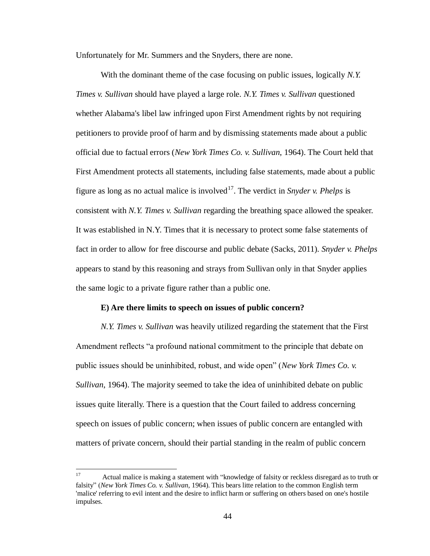Unfortunately for Mr. Summers and the Snyders, there are none.

With the dominant theme of the case focusing on public issues, logically *N.Y. Times v. Sullivan* should have played a large role. *N.Y. Times v. Sullivan* questioned whether Alabama's libel law infringed upon First Amendment rights by not requiring petitioners to provide proof of harm and by dismissing statements made about a public official due to factual errors (*New York Times Co. v. Sullivan*, 1964). The Court held that First Amendment protects all statements, including false statements, made about a public figure as long as no actual malice is involved<sup>17</sup>. The verdict in *Snyder v. Phelps* is consistent with *N.Y. Times v. Sullivan* regarding the breathing space allowed the speaker. It was established in N.Y. Times that it is necessary to protect some false statements of fact in order to allow for free discourse and public debate (Sacks, 2011). *Snyder v. Phelps* appears to stand by this reasoning and strays from Sullivan only in that Snyder applies the same logic to a private figure rather than a public one.

#### **E) Are there limits to speech on issues of public concern?**

*N.Y. Times v. Sullivan* was heavily utilized regarding the statement that the First Amendment reflects "a profound national commitment to the principle that debate on public issues should be uninhibited, robust, and wide open" (*New York Times Co. v. Sullivan*, 1964). The majority seemed to take the idea of uninhibited debate on public issues quite literally. There is a question that the Court failed to address concerning speech on issues of public concern; when issues of public concern are entangled with matters of private concern, should their partial standing in the realm of public concern

 $17\,$ Actual malice is making a statement with "knowledge of falsity or reckless disregard as to truth or falsity" (*New York Times Co. v. Sullivan*, 1964). This bears litte relation to the common English term 'malice' referring to evil intent and the desire to inflict harm or suffering on others based on one's hostile impulses.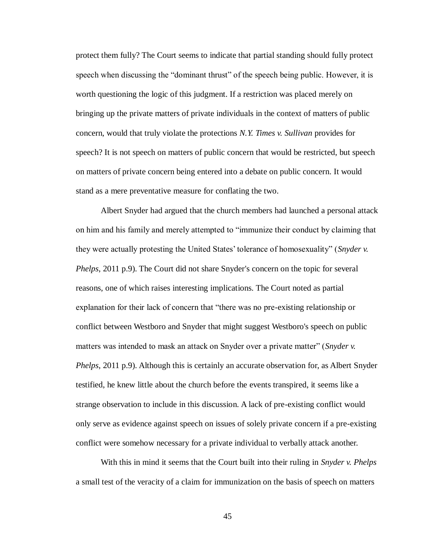protect them fully? The Court seems to indicate that partial standing should fully protect speech when discussing the "dominant thrust" of the speech being public. However, it is worth questioning the logic of this judgment. If a restriction was placed merely on bringing up the private matters of private individuals in the context of matters of public concern, would that truly violate the protections *N.Y. Times v. Sullivan* provides for speech? It is not speech on matters of public concern that would be restricted, but speech on matters of private concern being entered into a debate on public concern. It would stand as a mere preventative measure for conflating the two.

Albert Snyder had argued that the church members had launched a personal attack on him and his family and merely attempted to "immunize their conduct by claiming that they were actually protesting the United States' tolerance of homosexuality" (*Snyder v. Phelps*, 2011 p.9). The Court did not share Snyder's concern on the topic for several reasons, one of which raises interesting implications. The Court noted as partial explanation for their lack of concern that "there was no pre-existing relationship or conflict between Westboro and Snyder that might suggest Westboro's speech on public matters was intended to mask an attack on Snyder over a private matter" (*Snyder v. Phelps*, 2011 p.9). Although this is certainly an accurate observation for, as Albert Snyder testified, he knew little about the church before the events transpired, it seems like a strange observation to include in this discussion. A lack of pre-existing conflict would only serve as evidence against speech on issues of solely private concern if a pre-existing conflict were somehow necessary for a private individual to verbally attack another.

With this in mind it seems that the Court built into their ruling in *Snyder v. Phelps* a small test of the veracity of a claim for immunization on the basis of speech on matters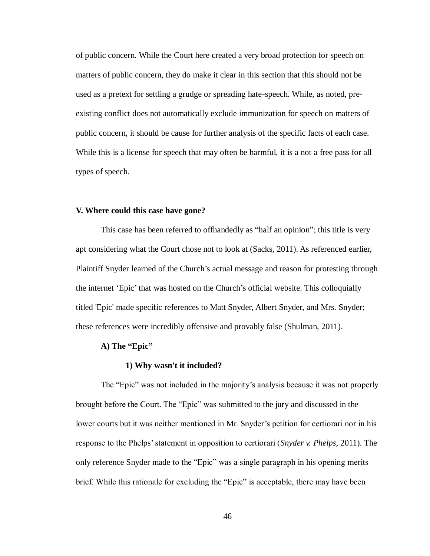of public concern. While the Court here created a very broad protection for speech on matters of public concern, they do make it clear in this section that this should not be used as a pretext for settling a grudge or spreading hate-speech. While, as noted, preexisting conflict does not automatically exclude immunization for speech on matters of public concern, it should be cause for further analysis of the specific facts of each case. While this is a license for speech that may often be harmful, it is a not a free pass for all types of speech.

## **V. Where could this case have gone?**

This case has been referred to offhandedly as "half an opinion"; this title is very apt considering what the Court chose not to look at (Sacks, 2011). As referenced earlier, Plaintiff Snyder learned of the Church's actual message and reason for protesting through the internet 'Epic' that was hosted on the Church's official website. This colloquially titled 'Epic' made specific references to Matt Snyder, Albert Snyder, and Mrs. Snyder; these references were incredibly offensive and provably false (Shulman, 2011).

## **A) The "Epic"**

#### **1) Why wasn't it included?**

The "Epic" was not included in the majority's analysis because it was not properly brought before the Court. The "Epic" was submitted to the jury and discussed in the lower courts but it was neither mentioned in Mr. Snyder's petition for certiorari nor in his response to the Phelps' statement in opposition to certiorari (*Snyder v. Phelps*, 2011). The only reference Snyder made to the "Epic" was a single paragraph in his opening merits brief. While this rationale for excluding the "Epic" is acceptable, there may have been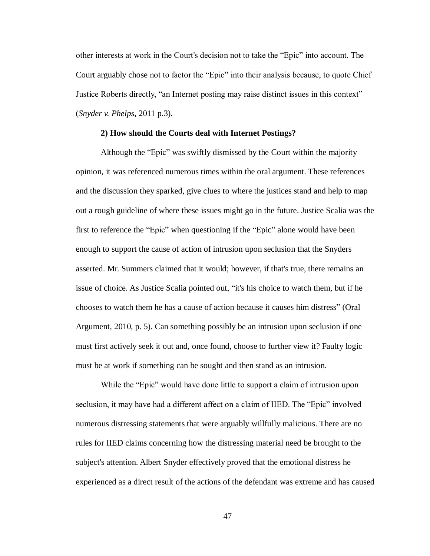other interests at work in the Court's decision not to take the "Epic" into account. The Court arguably chose not to factor the "Epic" into their analysis because, to quote Chief Justice Roberts directly, "an Internet posting may raise distinct issues in this context" (*Snyder v. Phelps*, 2011 p.3).

## **2) How should the Courts deal with Internet Postings?**

Although the "Epic" was swiftly dismissed by the Court within the majority opinion, it was referenced numerous times within the oral argument. These references and the discussion they sparked, give clues to where the justices stand and help to map out a rough guideline of where these issues might go in the future. Justice Scalia was the first to reference the "Epic" when questioning if the "Epic" alone would have been enough to support the cause of action of intrusion upon seclusion that the Snyders asserted. Mr. Summers claimed that it would; however, if that's true, there remains an issue of choice. As Justice Scalia pointed out, "it's his choice to watch them, but if he chooses to watch them he has a cause of action because it causes him distress" (Oral Argument, 2010, p. 5). Can something possibly be an intrusion upon seclusion if one must first actively seek it out and, once found, choose to further view it? Faulty logic must be at work if something can be sought and then stand as an intrusion.

While the "Epic" would have done little to support a claim of intrusion upon seclusion, it may have had a different affect on a claim of IIED. The "Epic" involved numerous distressing statements that were arguably willfully malicious. There are no rules for IIED claims concerning how the distressing material need be brought to the subject's attention. Albert Snyder effectively proved that the emotional distress he experienced as a direct result of the actions of the defendant was extreme and has caused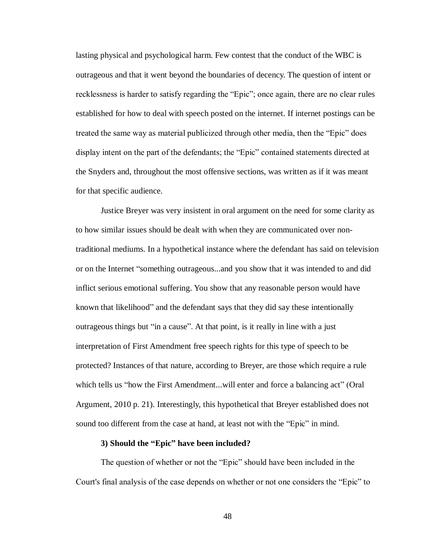lasting physical and psychological harm. Few contest that the conduct of the WBC is outrageous and that it went beyond the boundaries of decency. The question of intent or recklessness is harder to satisfy regarding the "Epic"; once again, there are no clear rules established for how to deal with speech posted on the internet. If internet postings can be treated the same way as material publicized through other media, then the "Epic" does display intent on the part of the defendants; the "Epic" contained statements directed at the Snyders and, throughout the most offensive sections, was written as if it was meant for that specific audience.

Justice Breyer was very insistent in oral argument on the need for some clarity as to how similar issues should be dealt with when they are communicated over nontraditional mediums. In a hypothetical instance where the defendant has said on television or on the Internet "something outrageous...and you show that it was intended to and did inflict serious emotional suffering. You show that any reasonable person would have known that likelihood" and the defendant says that they did say these intentionally outrageous things but "in a cause". At that point, is it really in line with a just interpretation of First Amendment free speech rights for this type of speech to be protected? Instances of that nature, according to Breyer, are those which require a rule which tells us "how the First Amendment...will enter and force a balancing act" (Oral Argument, 2010 p. 21). Interestingly, this hypothetical that Breyer established does not sound too different from the case at hand, at least not with the "Epic" in mind.

# **3) Should the "Epic" have been included?**

The question of whether or not the "Epic" should have been included in the Court's final analysis of the case depends on whether or not one considers the "Epic" to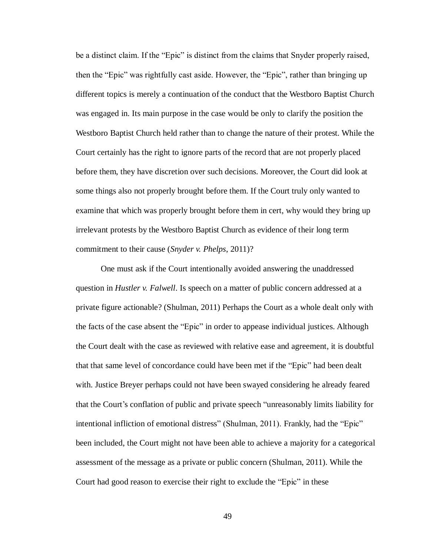be a distinct claim. If the "Epic" is distinct from the claims that Snyder properly raised, then the "Epic" was rightfully cast aside. However, the "Epic", rather than bringing up different topics is merely a continuation of the conduct that the Westboro Baptist Church was engaged in. Its main purpose in the case would be only to clarify the position the Westboro Baptist Church held rather than to change the nature of their protest. While the Court certainly has the right to ignore parts of the record that are not properly placed before them, they have discretion over such decisions. Moreover, the Court did look at some things also not properly brought before them. If the Court truly only wanted to examine that which was properly brought before them in cert, why would they bring up irrelevant protests by the Westboro Baptist Church as evidence of their long term commitment to their cause (*Snyder v. Phelps*, 2011)?

One must ask if the Court intentionally avoided answering the unaddressed question in *Hustler v. Falwell*. Is speech on a matter of public concern addressed at a private figure actionable? (Shulman, 2011) Perhaps the Court as a whole dealt only with the facts of the case absent the "Epic" in order to appease individual justices. Although the Court dealt with the case as reviewed with relative ease and agreement, it is doubtful that that same level of concordance could have been met if the "Epic" had been dealt with. Justice Breyer perhaps could not have been swayed considering he already feared that the Court's conflation of public and private speech "unreasonably limits liability for intentional infliction of emotional distress" (Shulman, 2011). Frankly, had the "Epic" been included, the Court might not have been able to achieve a majority for a categorical assessment of the message as a private or public concern (Shulman, 2011). While the Court had good reason to exercise their right to exclude the "Epic" in these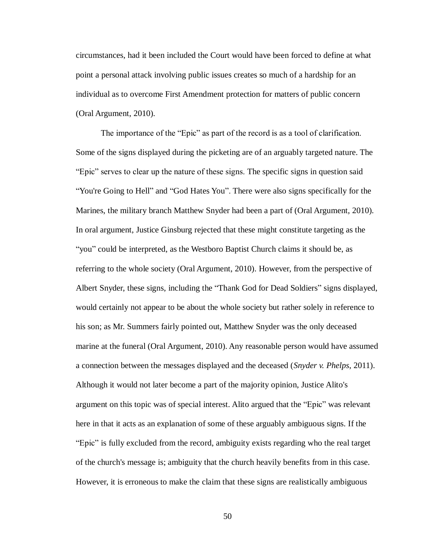circumstances, had it been included the Court would have been forced to define at what point a personal attack involving public issues creates so much of a hardship for an individual as to overcome First Amendment protection for matters of public concern (Oral Argument, 2010).

The importance of the "Epic" as part of the record is as a tool of clarification. Some of the signs displayed during the picketing are of an arguably targeted nature. The "Epic" serves to clear up the nature of these signs. The specific signs in question said "You're Going to Hell" and "God Hates You". There were also signs specifically for the Marines, the military branch Matthew Snyder had been a part of (Oral Argument, 2010). In oral argument, Justice Ginsburg rejected that these might constitute targeting as the "you" could be interpreted, as the Westboro Baptist Church claims it should be, as referring to the whole society (Oral Argument, 2010). However, from the perspective of Albert Snyder, these signs, including the "Thank God for Dead Soldiers" signs displayed, would certainly not appear to be about the whole society but rather solely in reference to his son; as Mr. Summers fairly pointed out, Matthew Snyder was the only deceased marine at the funeral (Oral Argument, 2010). Any reasonable person would have assumed a connection between the messages displayed and the deceased (*Snyder v. Phelps*, 2011). Although it would not later become a part of the majority opinion, Justice Alito's argument on this topic was of special interest. Alito argued that the "Epic" was relevant here in that it acts as an explanation of some of these arguably ambiguous signs. If the "Epic" is fully excluded from the record, ambiguity exists regarding who the real target of the church's message is; ambiguity that the church heavily benefits from in this case. However, it is erroneous to make the claim that these signs are realistically ambiguous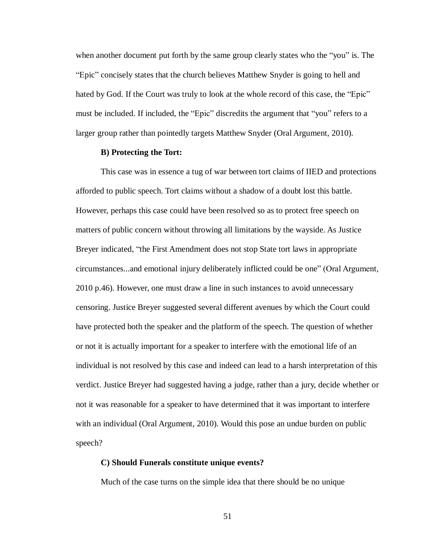when another document put forth by the same group clearly states who the "you" is. The "Epic" concisely states that the church believes Matthew Snyder is going to hell and hated by God. If the Court was truly to look at the whole record of this case, the "Epic" must be included. If included, the "Epic" discredits the argument that "you" refers to a larger group rather than pointedly targets Matthew Snyder (Oral Argument, 2010).

# **B) Protecting the Tort:**

This case was in essence a tug of war between tort claims of IIED and protections afforded to public speech. Tort claims without a shadow of a doubt lost this battle. However, perhaps this case could have been resolved so as to protect free speech on matters of public concern without throwing all limitations by the wayside. As Justice Breyer indicated, "the First Amendment does not stop State tort laws in appropriate circumstances...and emotional injury deliberately inflicted could be one" (Oral Argument, 2010 p.46). However, one must draw a line in such instances to avoid unnecessary censoring. Justice Breyer suggested several different avenues by which the Court could have protected both the speaker and the platform of the speech. The question of whether or not it is actually important for a speaker to interfere with the emotional life of an individual is not resolved by this case and indeed can lead to a harsh interpretation of this verdict. Justice Breyer had suggested having a judge, rather than a jury, decide whether or not it was reasonable for a speaker to have determined that it was important to interfere with an individual (Oral Argument, 2010). Would this pose an undue burden on public speech?

# **C) Should Funerals constitute unique events?**

Much of the case turns on the simple idea that there should be no unique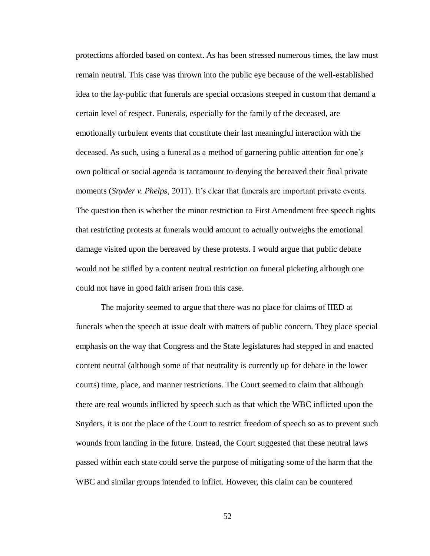protections afforded based on context. As has been stressed numerous times, the law must remain neutral. This case was thrown into the public eye because of the well-established idea to the lay-public that funerals are special occasions steeped in custom that demand a certain level of respect. Funerals, especially for the family of the deceased, are emotionally turbulent events that constitute their last meaningful interaction with the deceased. As such, using a funeral as a method of garnering public attention for one's own political or social agenda is tantamount to denying the bereaved their final private moments (*Snyder v. Phelps*, 2011). It's clear that funerals are important private events. The question then is whether the minor restriction to First Amendment free speech rights that restricting protests at funerals would amount to actually outweighs the emotional damage visited upon the bereaved by these protests. I would argue that public debate would not be stifled by a content neutral restriction on funeral picketing although one could not have in good faith arisen from this case.

The majority seemed to argue that there was no place for claims of IIED at funerals when the speech at issue dealt with matters of public concern. They place special emphasis on the way that Congress and the State legislatures had stepped in and enacted content neutral (although some of that neutrality is currently up for debate in the lower courts) time, place, and manner restrictions. The Court seemed to claim that although there are real wounds inflicted by speech such as that which the WBC inflicted upon the Snyders, it is not the place of the Court to restrict freedom of speech so as to prevent such wounds from landing in the future. Instead, the Court suggested that these neutral laws passed within each state could serve the purpose of mitigating some of the harm that the WBC and similar groups intended to inflict. However, this claim can be countered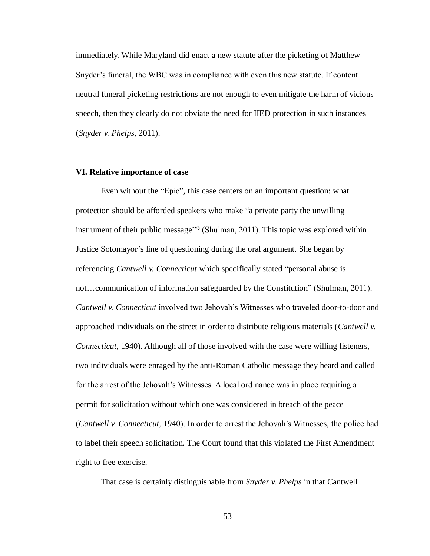immediately. While Maryland did enact a new statute after the picketing of Matthew Snyder's funeral, the WBC was in compliance with even this new statute. If content neutral funeral picketing restrictions are not enough to even mitigate the harm of vicious speech, then they clearly do not obviate the need for IIED protection in such instances (*Snyder v. Phelps*, 2011).

## **VI. Relative importance of case**

Even without the "Epic", this case centers on an important question: what protection should be afforded speakers who make "a private party the unwilling instrument of their public message"? (Shulman, 2011). This topic was explored within Justice Sotomayor's line of questioning during the oral argument. She began by referencing *Cantwell v. Connecticut* which specifically stated "personal abuse is not…communication of information safeguarded by the Constitution" (Shulman, 2011). *Cantwell v. Connecticut* involved two Jehovah's Witnesses who traveled door-to-door and approached individuals on the street in order to distribute religious materials (*Cantwell v. Connecticut*, 1940). Although all of those involved with the case were willing listeners, two individuals were enraged by the anti-Roman Catholic message they heard and called for the arrest of the Jehovah's Witnesses. A local ordinance was in place requiring a permit for solicitation without which one was considered in breach of the peace (*Cantwell v. Connecticut*, 1940). In order to arrest the Jehovah's Witnesses, the police had to label their speech solicitation. The Court found that this violated the First Amendment right to free exercise.

That case is certainly distinguishable from *Snyder v. Phelps* in that Cantwell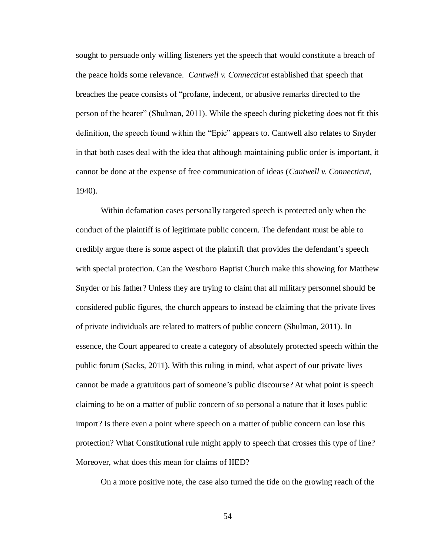sought to persuade only willing listeners yet the speech that would constitute a breach of the peace holds some relevance. *Cantwell v. Connecticut* established that speech that breaches the peace consists of "profane, indecent, or abusive remarks directed to the person of the hearer" (Shulman, 2011). While the speech during picketing does not fit this definition, the speech found within the "Epic" appears to. Cantwell also relates to Snyder in that both cases deal with the idea that although maintaining public order is important, it cannot be done at the expense of free communication of ideas (*Cantwell v. Connecticut*, 1940).

Within defamation cases personally targeted speech is protected only when the conduct of the plaintiff is of legitimate public concern. The defendant must be able to credibly argue there is some aspect of the plaintiff that provides the defendant's speech with special protection. Can the Westboro Baptist Church make this showing for Matthew Snyder or his father? Unless they are trying to claim that all military personnel should be considered public figures, the church appears to instead be claiming that the private lives of private individuals are related to matters of public concern (Shulman, 2011). In essence, the Court appeared to create a category of absolutely protected speech within the public forum (Sacks, 2011). With this ruling in mind, what aspect of our private lives cannot be made a gratuitous part of someone's public discourse? At what point is speech claiming to be on a matter of public concern of so personal a nature that it loses public import? Is there even a point where speech on a matter of public concern can lose this protection? What Constitutional rule might apply to speech that crosses this type of line? Moreover, what does this mean for claims of IIED?

On a more positive note, the case also turned the tide on the growing reach of the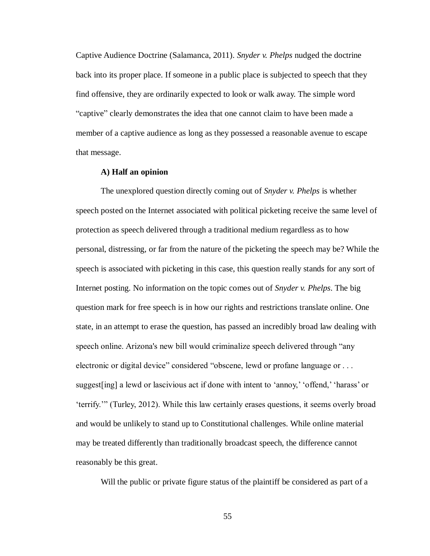Captive Audience Doctrine (Salamanca, 2011). *Snyder v. Phelps* nudged the doctrine back into its proper place. If someone in a public place is subjected to speech that they find offensive, they are ordinarily expected to look or walk away. The simple word "captive" clearly demonstrates the idea that one cannot claim to have been made a member of a captive audience as long as they possessed a reasonable avenue to escape that message.

#### **A) Half an opinion**

The unexplored question directly coming out of *Snyder v. Phelps* is whether speech posted on the Internet associated with political picketing receive the same level of protection as speech delivered through a traditional medium regardless as to how personal, distressing, or far from the nature of the picketing the speech may be? While the speech is associated with picketing in this case, this question really stands for any sort of Internet posting. No information on the topic comes out of *Snyder v. Phelps*. The big question mark for free speech is in how our rights and restrictions translate online. One state, in an attempt to erase the question, has passed an incredibly broad law dealing with speech online. Arizona's new bill would criminalize speech delivered through "any electronic or digital device" considered "obscene, lewd or profane language or . . . suggest[ing] a lewd or lascivious act if done with intent to 'annoy,' 'offend,' 'harass' or 'terrify.'" (Turley, 2012). While this law certainly erases questions, it seems overly broad and would be unlikely to stand up to Constitutional challenges. While online material may be treated differently than traditionally broadcast speech, the difference cannot reasonably be this great.

Will the public or private figure status of the plaintiff be considered as part of a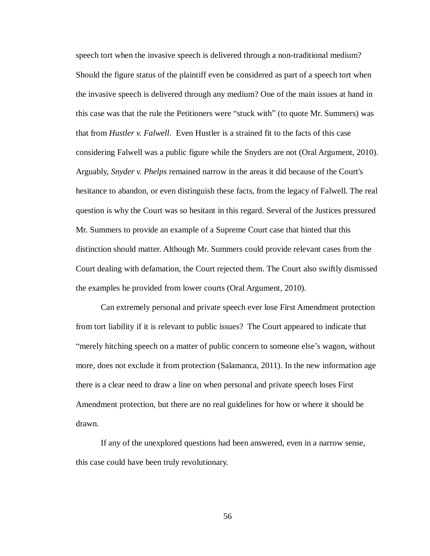speech tort when the invasive speech is delivered through a non-traditional medium? Should the figure status of the plaintiff even be considered as part of a speech tort when the invasive speech is delivered through any medium? One of the main issues at hand in this case was that the rule the Petitioners were "stuck with" (to quote Mr. Summers) was that from *Hustler v. Falwell*. Even Hustler is a strained fit to the facts of this case considering Falwell was a public figure while the Snyders are not (Oral Argument, 2010). Arguably, *Snyder v. Phelps* remained narrow in the areas it did because of the Court's hesitance to abandon, or even distinguish these facts, from the legacy of Falwell. The real question is why the Court was so hesitant in this regard. Several of the Justices pressured Mr. Summers to provide an example of a Supreme Court case that hinted that this distinction should matter. Although Mr. Summers could provide relevant cases from the Court dealing with defamation, the Court rejected them. The Court also swiftly dismissed the examples he provided from lower courts (Oral Argument, 2010).

Can extremely personal and private speech ever lose First Amendment protection from tort liability if it is relevant to public issues? The Court appeared to indicate that "merely hitching speech on a matter of public concern to someone else's wagon, without more, does not exclude it from protection (Salamanca, 2011). In the new information age there is a clear need to draw a line on when personal and private speech loses First Amendment protection, but there are no real guidelines for how or where it should be drawn.

If any of the unexplored questions had been answered, even in a narrow sense, this case could have been truly revolutionary.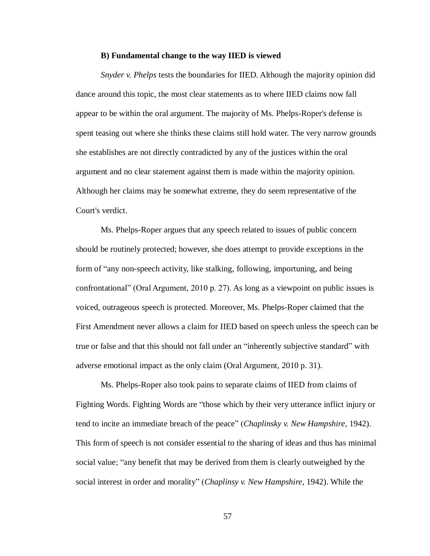## **B) Fundamental change to the way IIED is viewed**

*Snyder v. Phelps* tests the boundaries for IIED. Although the majority opinion did dance around this topic, the most clear statements as to where IIED claims now fall appear to be within the oral argument. The majority of Ms. Phelps-Roper's defense is spent teasing out where she thinks these claims still hold water. The very narrow grounds she establishes are not directly contradicted by any of the justices within the oral argument and no clear statement against them is made within the majority opinion. Although her claims may be somewhat extreme, they do seem representative of the Court's verdict.

Ms. Phelps-Roper argues that any speech related to issues of public concern should be routinely protected; however, she does attempt to provide exceptions in the form of "any non-speech activity, like stalking, following, importuning, and being confrontational" (Oral Argument, 2010 p. 27). As long as a viewpoint on public issues is voiced, outrageous speech is protected. Moreover, Ms. Phelps-Roper claimed that the First Amendment never allows a claim for IIED based on speech unless the speech can be true or false and that this should not fall under an "inherently subjective standard" with adverse emotional impact as the only claim (Oral Argument, 2010 p. 31).

Ms. Phelps-Roper also took pains to separate claims of IIED from claims of Fighting Words. Fighting Words are "those which by their very utterance inflict injury or tend to incite an immediate breach of the peace" (*Chaplinsky v. New Hampshire*, 1942). This form of speech is not consider essential to the sharing of ideas and thus has minimal social value; "any benefit that may be derived from them is clearly outweighed by the social interest in order and morality" (*Chaplinsy v. New Hampshire*, 1942). While the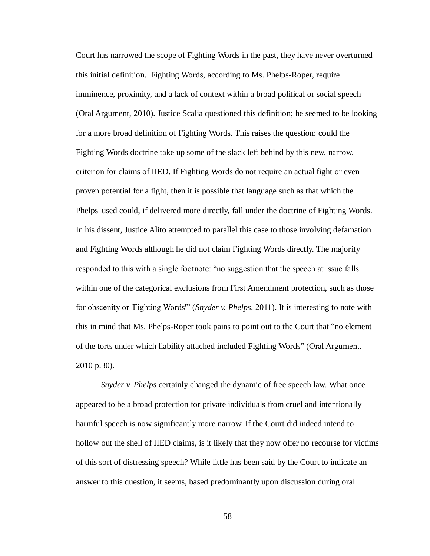Court has narrowed the scope of Fighting Words in the past, they have never overturned this initial definition. Fighting Words, according to Ms. Phelps-Roper, require imminence, proximity, and a lack of context within a broad political or social speech (Oral Argument, 2010). Justice Scalia questioned this definition; he seemed to be looking for a more broad definition of Fighting Words. This raises the question: could the Fighting Words doctrine take up some of the slack left behind by this new, narrow, criterion for claims of IIED. If Fighting Words do not require an actual fight or even proven potential for a fight, then it is possible that language such as that which the Phelps' used could, if delivered more directly, fall under the doctrine of Fighting Words. In his dissent, Justice Alito attempted to parallel this case to those involving defamation and Fighting Words although he did not claim Fighting Words directly. The majority responded to this with a single footnote: "no suggestion that the speech at issue falls within one of the categorical exclusions from First Amendment protection, such as those for obscenity or 'Fighting Words'" (*Snyder v. Phelps*, 2011). It is interesting to note with this in mind that Ms. Phelps-Roper took pains to point out to the Court that "no element of the torts under which liability attached included Fighting Words" (Oral Argument, 2010 p.30).

*Snyder v. Phelps* certainly changed the dynamic of free speech law. What once appeared to be a broad protection for private individuals from cruel and intentionally harmful speech is now significantly more narrow. If the Court did indeed intend to hollow out the shell of IIED claims, is it likely that they now offer no recourse for victims of this sort of distressing speech? While little has been said by the Court to indicate an answer to this question, it seems, based predominantly upon discussion during oral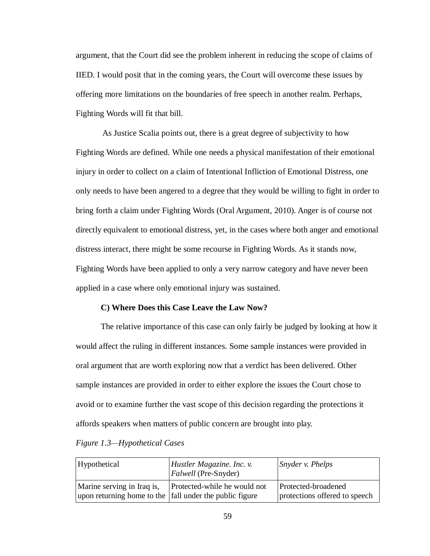argument, that the Court did see the problem inherent in reducing the scope of claims of IIED. I would posit that in the coming years, the Court will overcome these issues by offering more limitations on the boundaries of free speech in another realm. Perhaps, Fighting Words will fit that bill.

As Justice Scalia points out, there is a great degree of subjectivity to how Fighting Words are defined. While one needs a physical manifestation of their emotional injury in order to collect on a claim of Intentional Infliction of Emotional Distress, one only needs to have been angered to a degree that they would be willing to fight in order to bring forth a claim under Fighting Words (Oral Argument, 2010). Anger is of course not directly equivalent to emotional distress, yet, in the cases where both anger and emotional distress interact, there might be some recourse in Fighting Words. As it stands now, Fighting Words have been applied to only a very narrow category and have never been applied in a case where only emotional injury was sustained.

#### **C) Where Does this Case Leave the Law Now?**

The relative importance of this case can only fairly be judged by looking at how it would affect the ruling in different instances. Some sample instances were provided in oral argument that are worth exploring now that a verdict has been delivered. Other sample instances are provided in order to either explore the issues the Court chose to avoid or to examine further the vast scope of this decision regarding the protections it affords speakers when matters of public concern are brought into play.

| Hypothetical                                                                          | Hustler Magazine. Inc. v.<br><i>Falwell</i> (Pre-Snyder) | Snyder v. Phelps                                     |
|---------------------------------------------------------------------------------------|----------------------------------------------------------|------------------------------------------------------|
| Marine serving in Iraq is,<br>upon returning home to the fall under the public figure | Protected-while he would not                             | Protected-broadened<br>protections offered to speech |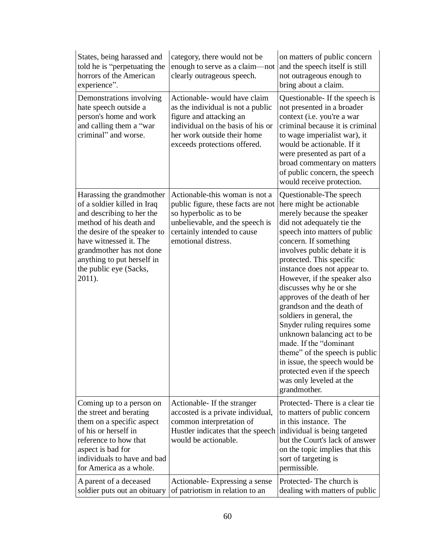| States, being harassed and<br>told he is "perpetuating the<br>horrors of the American<br>experience".                                                                                                                                                                    | category, there would not be<br>enough to serve as a claim-not<br>clearly outrageous speech.                                                                                                    | on matters of public concern<br>and the speech itself is still<br>not outrageous enough to<br>bring about a claim.                                                                                                                                                                                                                                                                                                                                                                                                                                                                                                                                               |
|--------------------------------------------------------------------------------------------------------------------------------------------------------------------------------------------------------------------------------------------------------------------------|-------------------------------------------------------------------------------------------------------------------------------------------------------------------------------------------------|------------------------------------------------------------------------------------------------------------------------------------------------------------------------------------------------------------------------------------------------------------------------------------------------------------------------------------------------------------------------------------------------------------------------------------------------------------------------------------------------------------------------------------------------------------------------------------------------------------------------------------------------------------------|
| Demonstrations involving<br>hate speech outside a<br>person's home and work<br>and calling them a "war<br>criminal" and worse.                                                                                                                                           | Actionable-would have claim<br>as the individual is not a public<br>figure and attacking an<br>individual on the basis of his or<br>her work outside their home<br>exceeds protections offered. | Questionable - If the speech is<br>not presented in a broader<br>context (i.e. you're a war<br>criminal because it is criminal<br>to wage imperialist war), it<br>would be actionable. If it<br>were presented as part of a<br>broad commentary on matters<br>of public concern, the speech<br>would receive protection.                                                                                                                                                                                                                                                                                                                                         |
| Harassing the grandmother<br>of a soldier killed in Iraq<br>and describing to her the<br>method of his death and<br>the desire of the speaker to<br>have witnessed it. The<br>grandmother has not done<br>anything to put herself in<br>the public eye (Sacks,<br>2011). | Actionable-this woman is not a<br>public figure, these facts are not<br>so hyperbolic as to be<br>unbelievable, and the speech is<br>certainly intended to cause<br>emotional distress.         | Questionable-The speech<br>here might be actionable<br>merely because the speaker<br>did not adequately tie the<br>speech into matters of public<br>concern. If something<br>involves public debate it is<br>protected. This specific<br>instance does not appear to.<br>However, if the speaker also<br>discusses why he or she<br>approves of the death of her<br>grandson and the death of<br>soldiers in general, the<br>Snyder ruling requires some<br>unknown balancing act to be<br>made. If the "dominant"<br>theme" of the speech is public<br>in issue, the speech would be<br>protected even if the speech<br>was only leveled at the<br>grandmother. |
| Coming up to a person on<br>the street and berating<br>them on a specific aspect<br>of his or herself in<br>reference to how that<br>aspect is bad for<br>individuals to have and bad<br>for America as a whole.                                                         | Actionable- If the stranger<br>accosted is a private individual,<br>common interpretation of<br>Hustler indicates that the speech<br>would be actionable.                                       | Protected-There is a clear tie<br>to matters of public concern<br>in this instance. The<br>individual is being targeted<br>but the Court's lack of answer<br>on the topic implies that this<br>sort of targeting is<br>permissible.                                                                                                                                                                                                                                                                                                                                                                                                                              |
| A parent of a deceased<br>soldier puts out an obituary                                                                                                                                                                                                                   | Actionable-Expressing a sense<br>of patriotism in relation to an                                                                                                                                | Protected-The church is<br>dealing with matters of public                                                                                                                                                                                                                                                                                                                                                                                                                                                                                                                                                                                                        |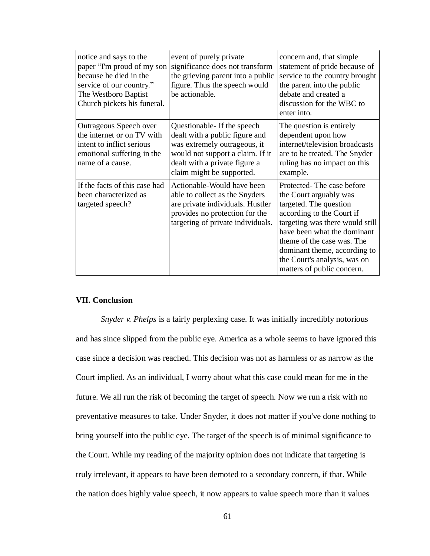| notice and says to the<br>paper "I'm proud of my son<br>because he died in the<br>service of our country."<br>The Westboro Baptist<br>Church pickets his funeral. | event of purely private<br>significance does not transform<br>the grieving parent into a public<br>figure. Thus the speech would<br>be actionable.                                              | concern and, that simple<br>statement of pride because of<br>service to the country brought<br>the parent into the public<br>debate and created a<br>discussion for the WBC to<br>enter into.                                                                                                            |
|-------------------------------------------------------------------------------------------------------------------------------------------------------------------|-------------------------------------------------------------------------------------------------------------------------------------------------------------------------------------------------|----------------------------------------------------------------------------------------------------------------------------------------------------------------------------------------------------------------------------------------------------------------------------------------------------------|
| Outrageous Speech over<br>the internet or on TV with<br>intent to inflict serious<br>emotional suffering in the<br>name of a cause.                               | Questionable- If the speech<br>dealt with a public figure and<br>was extremely outrageous, it<br>would not support a claim. If it<br>dealt with a private figure a<br>claim might be supported. | The question is entirely<br>dependent upon how<br>internet/television broadcasts<br>are to be treated. The Snyder<br>ruling has no impact on this<br>example.                                                                                                                                            |
| If the facts of this case had<br>been characterized as<br>targeted speech?                                                                                        | Actionable-Would have been<br>able to collect as the Snyders<br>are private individuals. Hustler<br>provides no protection for the<br>targeting of private individuals.                         | Protected-The case before<br>the Court arguably was<br>targeted. The question<br>according to the Court if<br>targeting was there would still<br>have been what the dominant<br>theme of the case was. The<br>dominant theme, according to<br>the Court's analysis, was on<br>matters of public concern. |

# **VII. Conclusion**

*Snyder v. Phelps* is a fairly perplexing case. It was initially incredibly notorious and has since slipped from the public eye. America as a whole seems to have ignored this case since a decision was reached. This decision was not as harmless or as narrow as the Court implied. As an individual, I worry about what this case could mean for me in the future. We all run the risk of becoming the target of speech. Now we run a risk with no preventative measures to take. Under Snyder, it does not matter if you've done nothing to bring yourself into the public eye. The target of the speech is of minimal significance to the Court. While my reading of the majority opinion does not indicate that targeting is truly irrelevant, it appears to have been demoted to a secondary concern, if that. While the nation does highly value speech, it now appears to value speech more than it values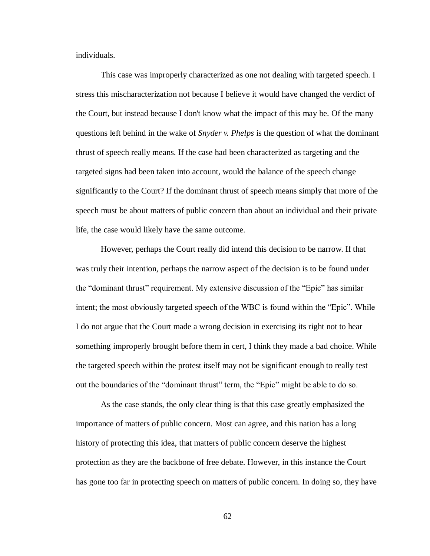individuals.

This case was improperly characterized as one not dealing with targeted speech. I stress this mischaracterization not because I believe it would have changed the verdict of the Court, but instead because I don't know what the impact of this may be. Of the many questions left behind in the wake of *Snyder v. Phelps* is the question of what the dominant thrust of speech really means. If the case had been characterized as targeting and the targeted signs had been taken into account, would the balance of the speech change significantly to the Court? If the dominant thrust of speech means simply that more of the speech must be about matters of public concern than about an individual and their private life, the case would likely have the same outcome.

However, perhaps the Court really did intend this decision to be narrow. If that was truly their intention, perhaps the narrow aspect of the decision is to be found under the "dominant thrust" requirement. My extensive discussion of the "Epic" has similar intent; the most obviously targeted speech of the WBC is found within the "Epic". While I do not argue that the Court made a wrong decision in exercising its right not to hear something improperly brought before them in cert, I think they made a bad choice. While the targeted speech within the protest itself may not be significant enough to really test out the boundaries of the "dominant thrust" term, the "Epic" might be able to do so.

As the case stands, the only clear thing is that this case greatly emphasized the importance of matters of public concern. Most can agree, and this nation has a long history of protecting this idea, that matters of public concern deserve the highest protection as they are the backbone of free debate. However, in this instance the Court has gone too far in protecting speech on matters of public concern. In doing so, they have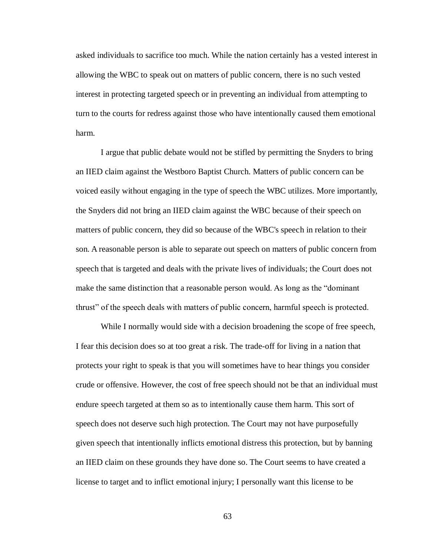asked individuals to sacrifice too much. While the nation certainly has a vested interest in allowing the WBC to speak out on matters of public concern, there is no such vested interest in protecting targeted speech or in preventing an individual from attempting to turn to the courts for redress against those who have intentionally caused them emotional harm.

I argue that public debate would not be stifled by permitting the Snyders to bring an IIED claim against the Westboro Baptist Church. Matters of public concern can be voiced easily without engaging in the type of speech the WBC utilizes. More importantly, the Snyders did not bring an IIED claim against the WBC because of their speech on matters of public concern, they did so because of the WBC's speech in relation to their son. A reasonable person is able to separate out speech on matters of public concern from speech that is targeted and deals with the private lives of individuals; the Court does not make the same distinction that a reasonable person would. As long as the "dominant thrust" of the speech deals with matters of public concern, harmful speech is protected.

While I normally would side with a decision broadening the scope of free speech, I fear this decision does so at too great a risk. The trade-off for living in a nation that protects your right to speak is that you will sometimes have to hear things you consider crude or offensive. However, the cost of free speech should not be that an individual must endure speech targeted at them so as to intentionally cause them harm. This sort of speech does not deserve such high protection. The Court may not have purposefully given speech that intentionally inflicts emotional distress this protection, but by banning an IIED claim on these grounds they have done so. The Court seems to have created a license to target and to inflict emotional injury; I personally want this license to be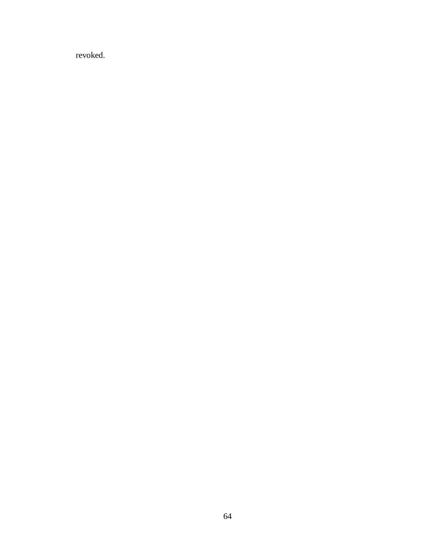revoked.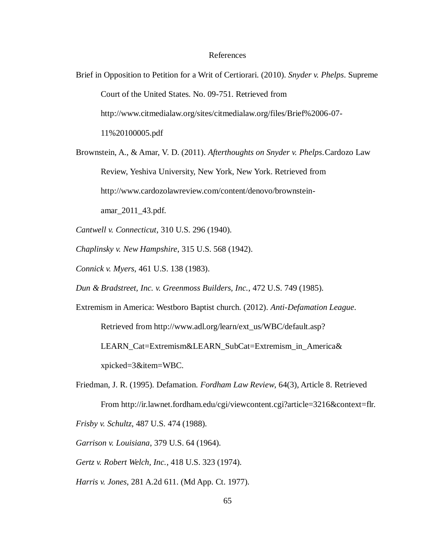#### References

Brief in Opposition to Petition for a Writ of Certiorari. (2010). *Snyder v. Phelps*. Supreme Court of the United States. No. 09-751. Retrieved from http://www.citmedialaw.org/sites/citmedialaw.org/files/Brief%2006-07- 11%20100005.pdf

Brownstein, A., & Amar, V. D. (2011). *Afterthoughts on Snyder v. Phelps*.Cardozo Law Review, Yeshiva University, New York, New York. Retrieved from http://www.cardozolawreview.com/content/denovo/brownsteinamar\_2011\_43.pdf.

*Cantwell v. Connecticut*, 310 U.S. 296 (1940).

*Chaplinsky v. New Hampshire*, 315 U.S. 568 (1942).

*Connick v. Myers*, 461 U.S. 138 (1983).

*Dun & Bradstreet, Inc. v. Greenmoss Builders, Inc.*, 472 U.S. 749 (1985).

Extremism in America: Westboro Baptist church. (2012). *Anti-Defamation League*. Retrieved from http://www.adl.org/learn/ext\_us/WBC/default.asp?

LEARN\_Cat=Extremism&LEARN\_SubCat=Extremism\_in\_America& xpicked=3&item=WBC.

Friedman, J. R. (1995). Defamation. *Fordham Law Review*, 64(3), Article 8. Retrieved From http://ir.lawnet.fordham.edu/cgi/viewcontent.cgi?article=3216&context=flr.

*Frisby v. Schultz*, 487 U.S. 474 (1988).

*Garrison v. Louisiana*, 379 U.S. 64 (1964).

*Gertz v. Robert Welch, Inc.*, 418 U.S. 323 (1974).

*Harris v. Jones*, 281 A.2d 611. (Md App. Ct. 1977).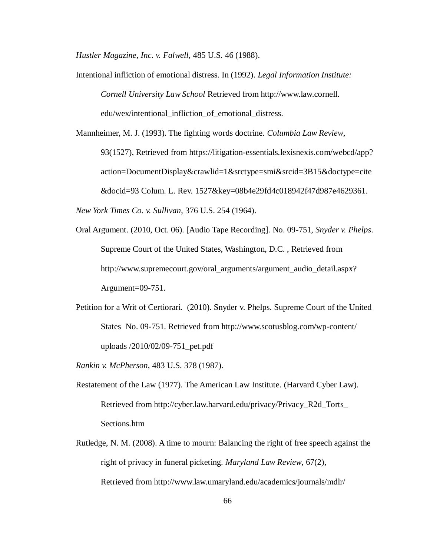*Hustler Magazine, Inc. v. Falwell*, 485 U.S. 46 (1988).

Intentional infliction of emotional distress. In (1992). *Legal Information Institute: Cornell University Law School* Retrieved from http://www.law.cornell. edu/wex/intentional\_infliction\_of\_emotional\_distress.

Mannheimer, M. J. (1993). The fighting words doctrine. *Columbia Law Review*, 93(1527), Retrieved from https://litigation-essentials.lexisnexis.com/webcd/app? action=DocumentDisplay&crawlid=1&srctype=smi&srcid=3B15&doctype=cite &docid=93 Colum. L. Rev. 1527&key=08b4e29fd4c018942f47d987e4629361.

*New York Times Co. v. Sullivan*, 376 U.S. 254 (1964).

- Oral Argument. (2010, Oct. 06). [Audio Tape Recording]. No. 09-751, *Snyder v. Phelps*. Supreme Court of the United States, Washington, D.C. , Retrieved from http://www.supremecourt.gov/oral\_arguments/argument\_audio\_detail.aspx? Argument=09-751.
- Petition for a Writ of Certiorari. (2010). Snyder v. Phelps. Supreme Court of the United States No. 09-751. Retrieved from http://www.scotusblog.com/wp-content/ uploads /2010/02/09-751\_pet.pdf

*Rankin v. McPherson*, 483 U.S. 378 (1987).

- Restatement of the Law (1977). The American Law Institute*.* (Harvard Cyber Law). Retrieved from http://cyber.law.harvard.edu/privacy/Privacy\_R2d\_Torts\_ Sections.htm
- Rutledge, N. M. (2008). A time to mourn: Balancing the right of free speech against the right of privacy in funeral picketing. *Maryland Law Review*, 67(2), Retrieved from http://www.law.umaryland.edu/academics/journals/mdlr/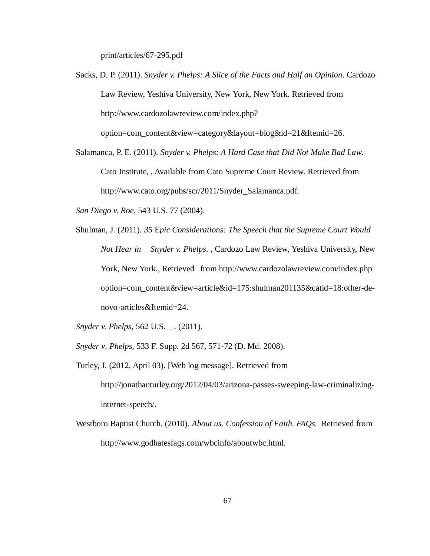print/articles/67-295.pdf

Sacks, D. P. (2011). *Snyder v. Phelps: A Slice of the Facts and Half an Opinion*. Cardozo Law Review, Yeshiva University, New York, New York. Retrieved from http://www.cardozolawreview.com/index.php?

option=com\_content&view=category&layout=blog&id=21&Itemid=26.

- Salamanca, P. E. (2011). *Snyder v. Phelps: A Hard Case that Did Not Make Bad Law*. Cato Institute, , Available from Cato Supreme Court Review. Retrieved from http://www.cato.org/pubs/scr/2011/Snyder\_Salamanca.pdf.
- *San Diego v. Roe*, 543 U.S. 77 (2004).
- Shulman, J. (2011). *35* E*pic Considerations: The Speech that the Supreme Court Would Not Hear in Snyder v. Phelps*. , Cardozo Law Review, Yeshiva University, New York, New York., Retrieved from http://www.cardozolawreview.com/index.php option=com\_content&view=article&id=175:shulman201135&catid=18:other-denovo-articles&Itemid=24.
- *Snyder v. Phelps*, 562 U.S.\_\_. (2011).
- *Snyder v*. *Phelps*, 533 F. Supp. 2d 567, 571-72 (D. Md. 2008).
- Turley, J. (2012, April 03). [Web log message]. Retrieved from http://jonathanturley.org/2012/04/03/arizona-passes-sweeping-law-criminalizinginternet-speech/.
- Westboro Baptist Church. (2010). *About us*. *Confession of Faith. FAQs.* Retrieved from http://www.godhatesfags.com/wbcinfo/aboutwbc.html.